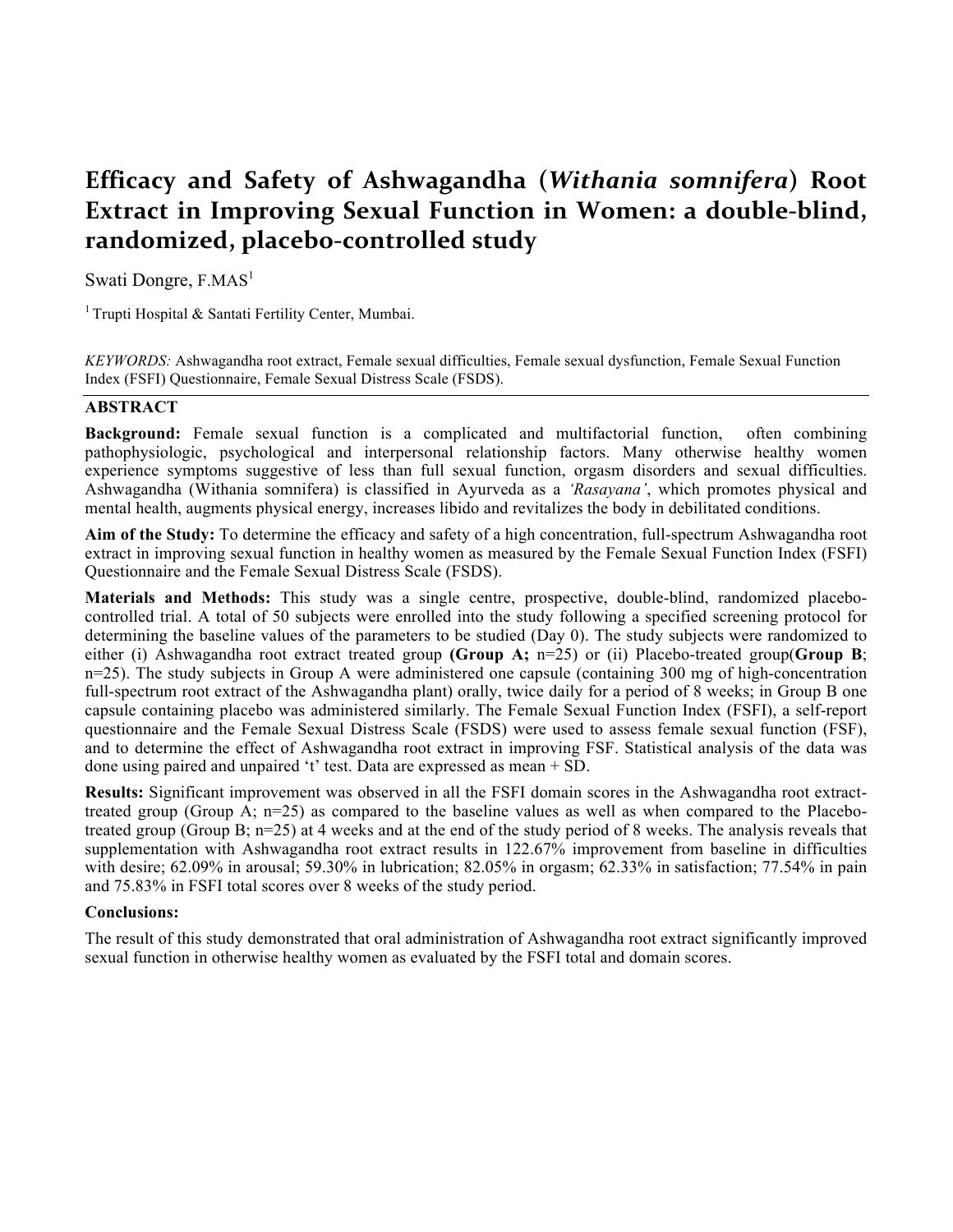# **Efficacy' and' Safety' of' Ashwagandha' (***Withania somnifera***)' Root' Extract in Improving Sexual Function in Women: a double-blind,** randomized, placebo-controlled study

Swati Dongre,  $F.MAS<sup>1</sup>$ 

<sup>1</sup> Trupti Hospital & Santati Fertility Center, Mumbai.

*KEYWORDS:* Ashwagandha root extract, Female sexual difficulties, Female sexual dysfunction, Female Sexual Function Index (FSFI) Questionnaire, Female Sexual Distress Scale (FSDS).

#### **ABSTRACT**

**Background:** Female sexual function is a complicated and multifactorial function, often combining pathophysiologic, psychological and interpersonal relationship factors. Many otherwise healthy women experience symptoms suggestive of less than full sexual function, orgasm disorders and sexual difficulties. Ashwagandha (Withania somnifera) is classified in Ayurveda as a *'Rasayana'*, which promotes physical and mental health, augments physical energy, increases libido and revitalizes the body in debilitated conditions.

**Aim of the Study:** To determine the efficacy and safety of a high concentration, full-spectrum Ashwagandha root extract in improving sexual function in healthy women as measured by the Female Sexual Function Index (FSFI) Questionnaire and the Female Sexual Distress Scale (FSDS).

**Materials and Methods:** This study was a single centre, prospective, double-blind, randomized placebocontrolled trial. A total of 50 subjects were enrolled into the study following a specified screening protocol for determining the baseline values of the parameters to be studied (Day 0). The study subjects were randomized to either (i) Ashwagandha root extract treated group **(Group A;** n=25) or (ii) Placebo-treated group(**Group B**; n=25). The study subjects in Group A were administered one capsule (containing 300 mg of high-concentration full-spectrum root extract of the Ashwagandha plant) orally, twice daily for a period of 8 weeks; in Group B one capsule containing placebo was administered similarly. The Female Sexual Function Index (FSFI), a self-report questionnaire and the Female Sexual Distress Scale (FSDS) were used to assess female sexual function (FSF), and to determine the effect of Ashwagandha root extract in improving FSF. Statistical analysis of the data was done using paired and unpaired 't' test. Data are expressed as mean + SD.

**Results:** Significant improvement was observed in all the FSFI domain scores in the Ashwagandha root extracttreated group (Group A; n=25) as compared to the baseline values as well as when compared to the Placebotreated group (Group B; n=25) at 4 weeks and at the end of the study period of 8 weeks. The analysis reveals that supplementation with Ashwagandha root extract results in 122.67% improvement from baseline in difficulties with desire; 62.09% in arousal; 59.30% in lubrication; 82.05% in orgasm; 62.33% in satisfaction; 77.54% in pain and 75.83% in FSFI total scores over 8 weeks of the study period.

#### **Conclusions:**

The result of this study demonstrated that oral administration of Ashwagandha root extract significantly improved sexual function in otherwise healthy women as evaluated by the FSFI total and domain scores.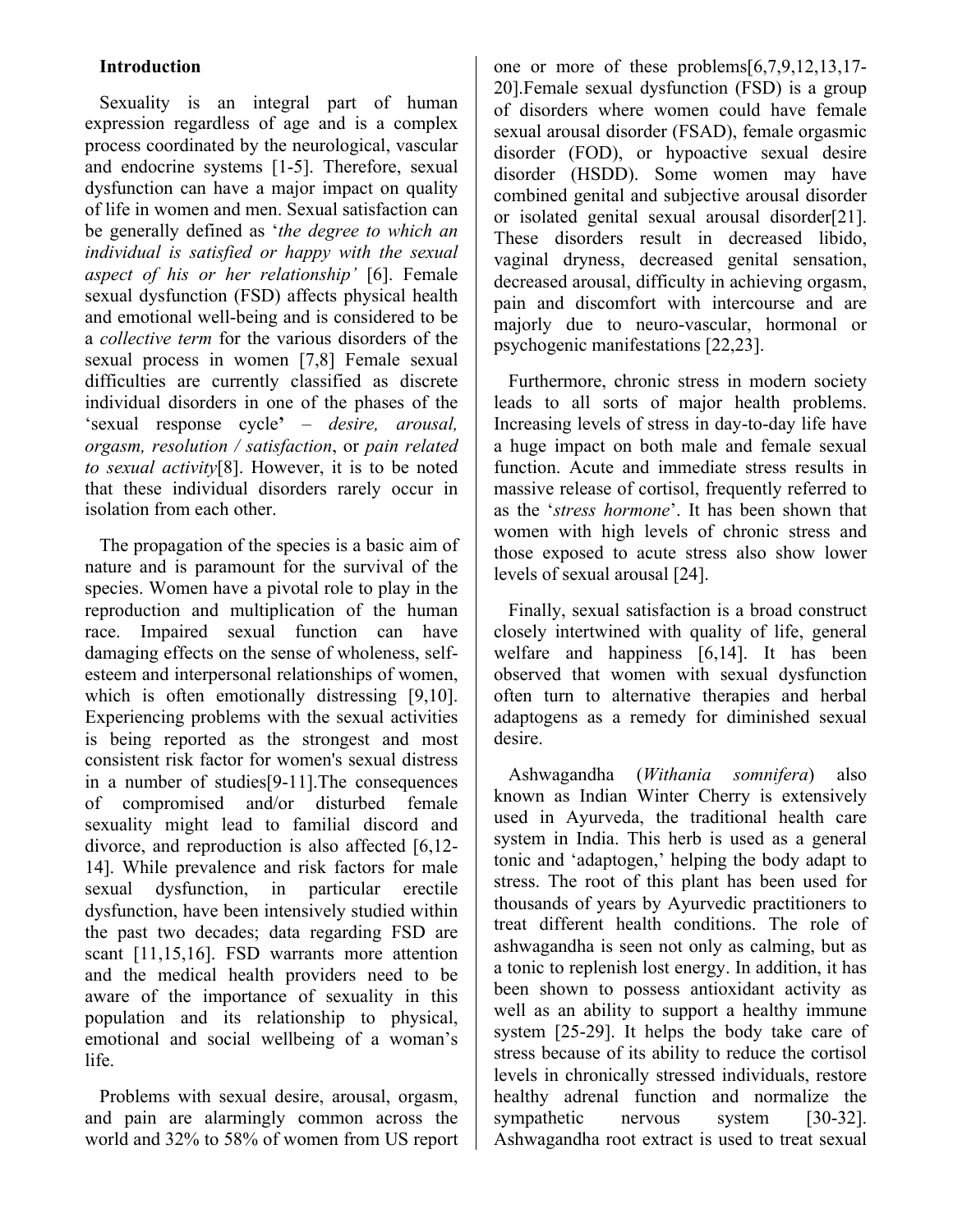### **Introduction**

Sexuality is an integral part of human expression regardless of age and is a complex process coordinated by the neurological, vascular and endocrine systems [1-5]. Therefore, sexual dysfunction can have a major impact on quality of life in women and men. Sexual satisfaction can be generally defined as '*the degree to which an individual is satisfied or happy with the sexual aspect of his or her relationship'* [6]. Female sexual dysfunction (FSD) affects physical health and emotional well-being and is considered to be a *collective term* for the various disorders of the sexual process in women [7,8] Female sexual difficulties are currently classified as discrete individual disorders in one of the phases of the 'sexual response cycle**'** – *desire, arousal, orgasm, resolution / satisfaction*, or *pain related to sexual activity*[8]. However, it is to be noted that these individual disorders rarely occur in isolation from each other.

The propagation of the species is a basic aim of nature and is paramount for the survival of the species. Women have a pivotal role to play in the reproduction and multiplication of the human race. Impaired sexual function can have damaging effects on the sense of wholeness, selfesteem and interpersonal relationships of women, which is often emotionally distressing [9,10]. Experiencing problems with the sexual activities is being reported as the strongest and most consistent risk factor for women's sexual distress in a number of studies[9-11].The consequences of compromised and/or disturbed female sexuality might lead to familial discord and divorce, and reproduction is also affected [6,12- 14]. While prevalence and risk factors for male sexual dysfunction, in particular erectile dysfunction, have been intensively studied within the past two decades; data regarding FSD are scant [11,15,16]. FSD warrants more attention and the medical health providers need to be aware of the importance of sexuality in this population and its relationship to physical, emotional and social wellbeing of a woman's life.

Problems with sexual desire, arousal, orgasm, and pain are alarmingly common across the world and 32% to 58% of women from US report one or more of these problems[6,7,9,12,13,17- 20].Female sexual dysfunction (FSD) is a group of disorders where women could have female sexual arousal disorder (FSAD), female orgasmic disorder (FOD), or hypoactive sexual desire disorder (HSDD). Some women may have combined genital and subjective arousal disorder or isolated genital sexual arousal disorder[21]. These disorders result in decreased libido, vaginal dryness, decreased genital sensation, decreased arousal, difficulty in achieving orgasm, pain and discomfort with intercourse and are majorly due to neuro-vascular, hormonal or psychogenic manifestations [22,23].

Furthermore, chronic stress in modern society leads to all sorts of major health problems. Increasing levels of stress in day-to-day life have a huge impact on both male and female sexual function. Acute and immediate stress results in massive release of cortisol, frequently referred to as the '*stress hormone*'. It has been shown that women with high levels of chronic stress and those exposed to acute stress also show lower levels of sexual arousal [24].

Finally, sexual satisfaction is a broad construct closely intertwined with quality of life, general welfare and happiness [6,14]. It has been observed that women with sexual dysfunction often turn to alternative therapies and herbal adaptogens as a remedy for diminished sexual desire.

Ashwagandha (*Withania somnifera*) also known as Indian Winter Cherry is extensively used in Ayurveda, the traditional health care system in India. This herb is used as a general tonic and 'adaptogen,' helping the body adapt to stress. The root of this plant has been used for thousands of years by Ayurvedic practitioners to treat different health conditions. The role of ashwagandha is seen not only as calming, but as a tonic to replenish lost energy. In addition, it has been shown to possess antioxidant activity as well as an ability to support a healthy immune system [25-29]. It helps the body take care of stress because of its ability to reduce the cortisol levels in chronically stressed individuals, restore healthy adrenal function and normalize the sympathetic nervous system [30-32]. Ashwagandha root extract is used to treat sexual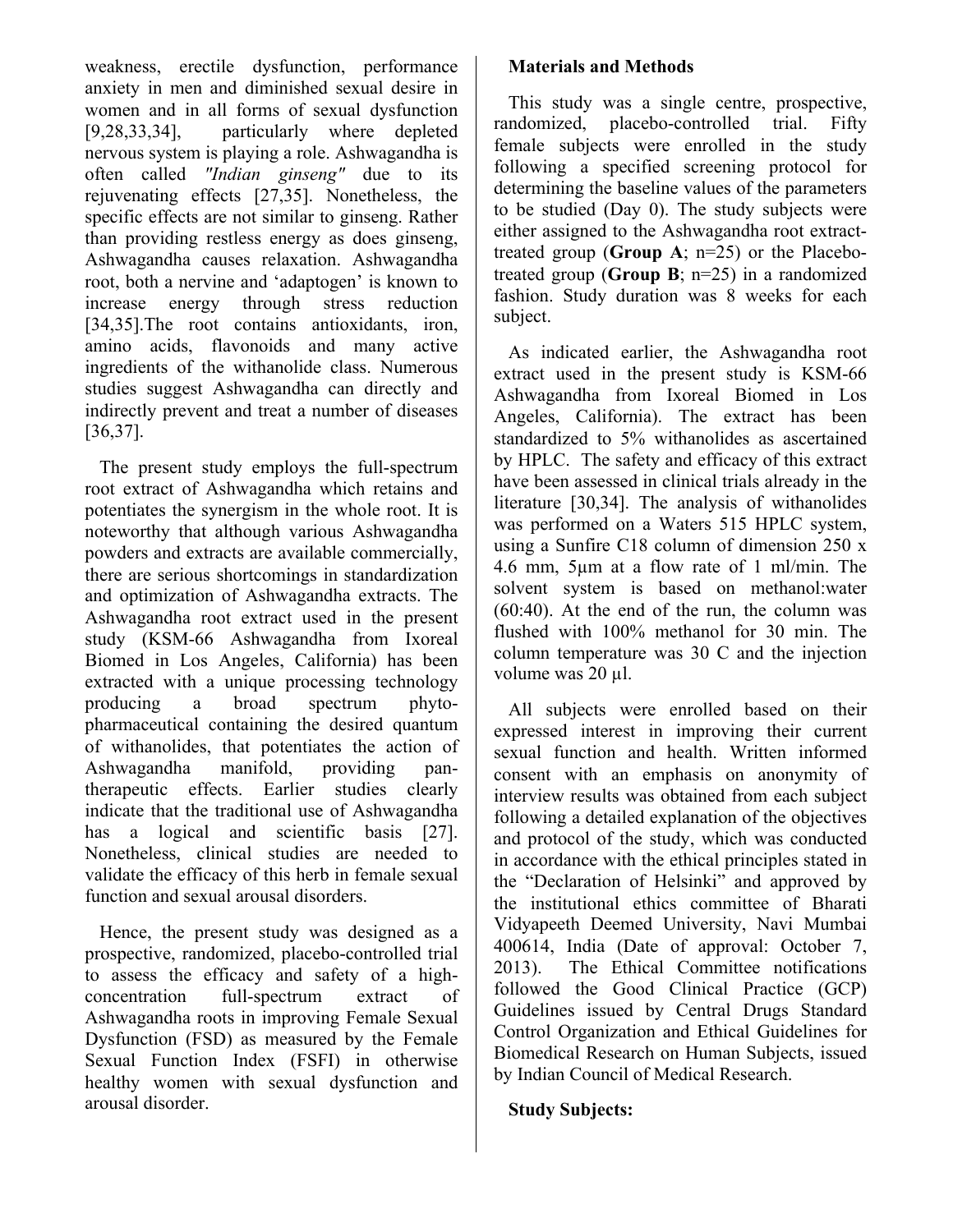weakness, erectile dysfunction, performance anxiety in men and diminished sexual desire in women and in all forms of sexual dysfunction [9,28,33,34], particularly where depleted nervous system is playing a role. Ashwagandha is often called *"Indian ginseng"* due to its rejuvenating effects [27,35]. Nonetheless, the specific effects are not similar to ginseng. Rather than providing restless energy as does ginseng, Ashwagandha causes relaxation. Ashwagandha root, both a nervine and 'adaptogen' is known to increase energy through stress reduction [34,35].The root contains antioxidants, iron, amino acids, flavonoids and many active ingredients of the withanolide class. Numerous studies suggest Ashwagandha can directly and indirectly prevent and treat a number of diseases [36,37].

The present study employs the full-spectrum root extract of Ashwagandha which retains and potentiates the synergism in the whole root. It is noteworthy that although various Ashwagandha powders and extracts are available commercially, there are serious shortcomings in standardization and optimization of Ashwagandha extracts. The Ashwagandha root extract used in the present study (KSM-66 Ashwagandha from Ixoreal Biomed in Los Angeles, California) has been extracted with a unique processing technology producing a broad spectrum phytopharmaceutical containing the desired quantum of withanolides, that potentiates the action of Ashwagandha manifold, providing pantherapeutic effects. Earlier studies clearly indicate that the traditional use of Ashwagandha has a logical and scientific basis [27]. Nonetheless, clinical studies are needed to validate the efficacy of this herb in female sexual function and sexual arousal disorders.

Hence, the present study was designed as a prospective, randomized, placebo-controlled trial to assess the efficacy and safety of a highconcentration full-spectrum extract of Ashwagandha roots in improving Female Sexual Dysfunction (FSD) as measured by the Female Sexual Function Index (FSFI) in otherwise healthy women with sexual dysfunction and arousal disorder.

#### **Materials and Methods**

This study was a single centre, prospective, randomized, placebo-controlled trial. Fifty female subjects were enrolled in the study following a specified screening protocol for determining the baseline values of the parameters to be studied (Day 0). The study subjects were either assigned to the Ashwagandha root extracttreated group (**Group A**; n=25) or the Placebotreated group (**Group B**; n=25) in a randomized fashion. Study duration was 8 weeks for each subject.

As indicated earlier, the Ashwagandha root extract used in the present study is KSM-66 Ashwagandha from Ixoreal Biomed in Los Angeles, California). The extract has been standardized to 5% withanolides as ascertained by HPLC. The safety and efficacy of this extract have been assessed in clinical trials already in the literature [30,34]. The analysis of withanolides was performed on a Waters 515 HPLC system, using a Sunfire C18 column of dimension 250 x 4.6 mm, 5µm at a flow rate of 1 ml/min. The solvent system is based on methanol:water (60:40). At the end of the run, the column was flushed with 100% methanol for 30 min. The column temperature was 30 C and the injection volume was 20 µl.

All subjects were enrolled based on their expressed interest in improving their current sexual function and health. Written informed consent with an emphasis on anonymity of interview results was obtained from each subject following a detailed explanation of the objectives and protocol of the study, which was conducted in accordance with the ethical principles stated in the "Declaration of Helsinki" and approved by the institutional ethics committee of Bharati Vidyapeeth Deemed University, Navi Mumbai 400614, India (Date of approval: October 7, 2013). The Ethical Committee notifications followed the Good Clinical Practice (GCP) Guidelines issued by Central Drugs Standard Control Organization and Ethical Guidelines for Biomedical Research on Human Subjects, issued by Indian Council of Medical Research.

#### **Study Subjects:**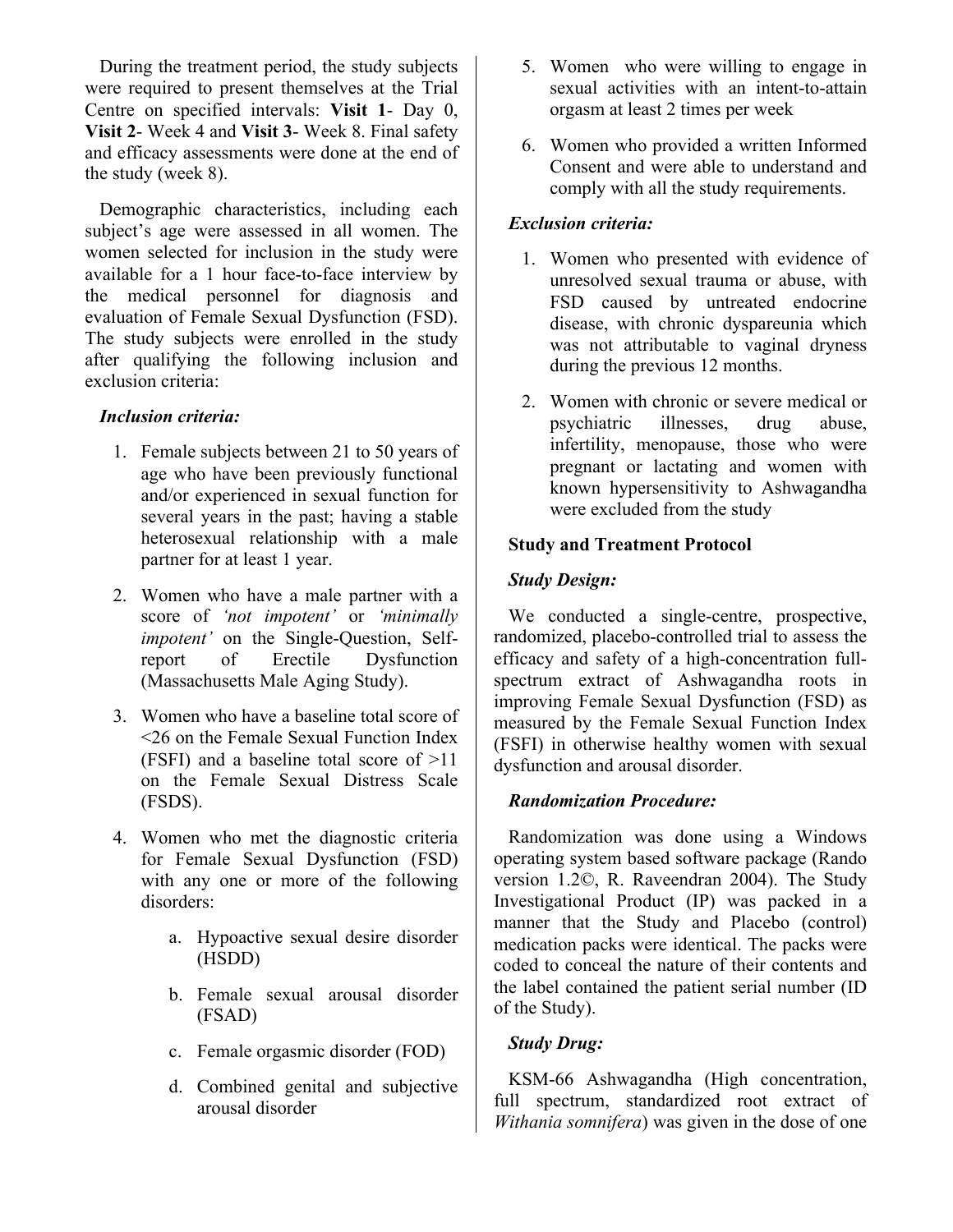During the treatment period, the study subjects were required to present themselves at the Trial Centre on specified intervals: **Visit 1**- Day 0, **Visit 2**- Week 4 and **Visit 3**- Week 8. Final safety and efficacy assessments were done at the end of the study (week 8).

Demographic characteristics, including each subject's age were assessed in all women. The women selected for inclusion in the study were available for a 1 hour face-to-face interview by the medical personnel for diagnosis and evaluation of Female Sexual Dysfunction (FSD). The study subjects were enrolled in the study after qualifying the following inclusion and exclusion criteria:

#### *Inclusion criteria:*

- 1. Female subjects between 21 to 50 years of age who have been previously functional and/or experienced in sexual function for several years in the past; having a stable heterosexual relationship with a male partner for at least 1 year.
- 2. Women who have a male partner with a score of *'not impotent'* or *'minimally impotent'* on the Single-Question, Selfreport of Erectile Dysfunction (Massachusetts Male Aging Study).
- 3. Women who have a baseline total score of <26 on the Female Sexual Function Index (FSFI) and a baseline total score of >11 on the Female Sexual Distress Scale (FSDS).
- 4. Women who met the diagnostic criteria for Female Sexual Dysfunction (FSD) with any one or more of the following disorders:
	- a. Hypoactive sexual desire disorder (HSDD)
	- b. Female sexual arousal disorder (FSAD)
	- c. Female orgasmic disorder (FOD)
	- d. Combined genital and subjective arousal disorder
- 5. Women who were willing to engage in sexual activities with an intent-to-attain orgasm at least 2 times per week
- 6. Women who provided a written Informed Consent and were able to understand and comply with all the study requirements.

### *Exclusion criteria:*

- 1. Women who presented with evidence of unresolved sexual trauma or abuse, with FSD caused by untreated endocrine disease, with chronic dyspareunia which was not attributable to vaginal dryness during the previous 12 months.
- 2. Women with chronic or severe medical or psychiatric illnesses, drug abuse, infertility, menopause, those who were pregnant or lactating and women with known hypersensitivity to Ashwagandha were excluded from the study

#### **Study and Treatment Protocol**

### *Study Design:*

We conducted a single-centre, prospective, randomized, placebo-controlled trial to assess the efficacy and safety of a high-concentration fullspectrum extract of Ashwagandha roots in improving Female Sexual Dysfunction (FSD) as measured by the Female Sexual Function Index (FSFI) in otherwise healthy women with sexual dysfunction and arousal disorder.

#### *Randomization Procedure:*

Randomization was done using a Windows operating system based software package (Rando version 1.2©, R. Raveendran 2004). The Study Investigational Product (IP) was packed in a manner that the Study and Placebo (control) medication packs were identical. The packs were coded to conceal the nature of their contents and the label contained the patient serial number (ID of the Study).

## *Study Drug:*

KSM-66 Ashwagandha (High concentration, full spectrum, standardized root extract of *Withania somnifera*) was given in the dose of one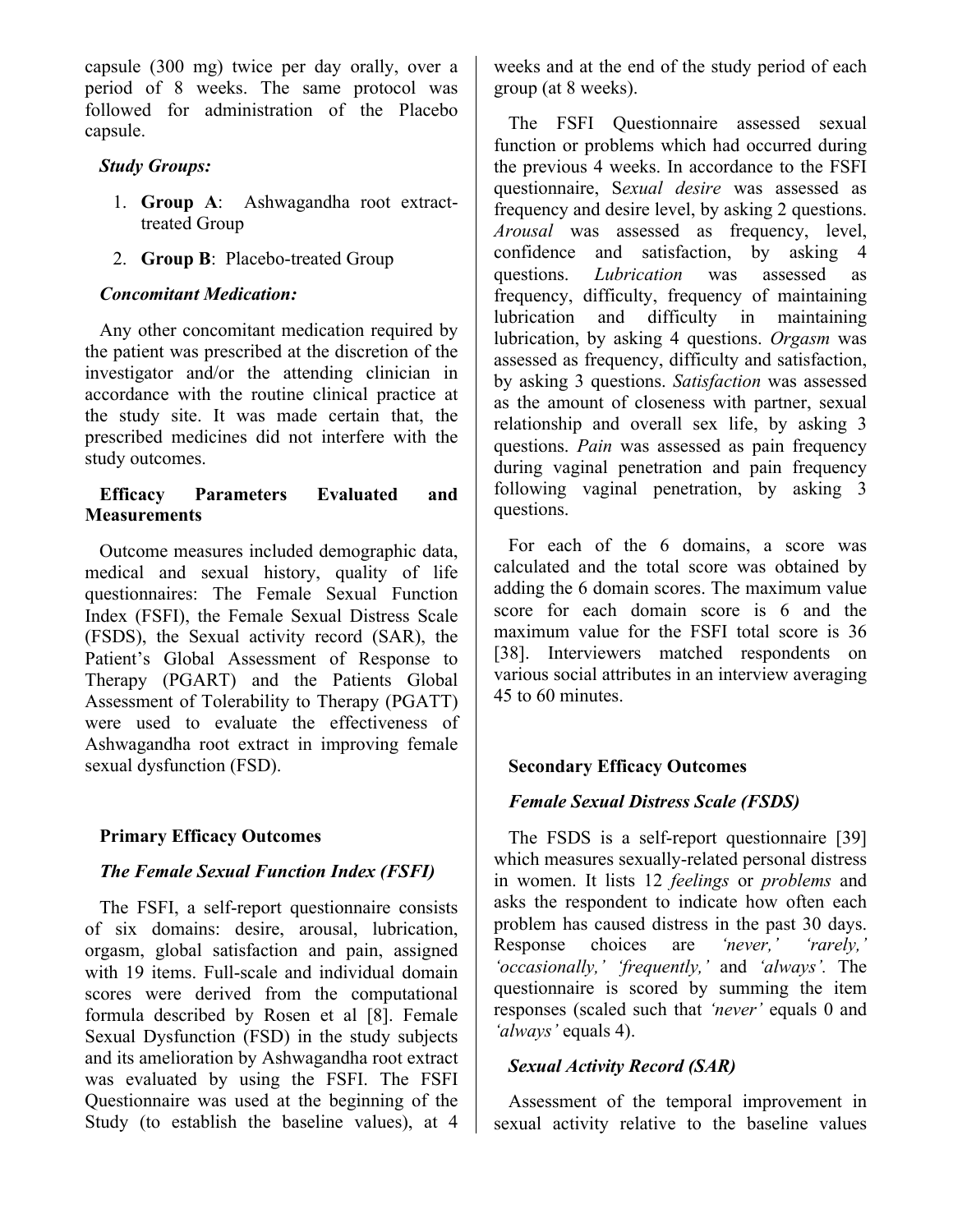capsule (300 mg) twice per day orally, over a period of 8 weeks. The same protocol was followed for administration of the Placebo capsule.

#### *Study Groups:*

- 1. **Group A**: Ashwagandha root extracttreated Group
- 2. **Group B**: Placebo-treated Group

#### *Concomitant Medication:*

Any other concomitant medication required by the patient was prescribed at the discretion of the investigator and/or the attending clinician in accordance with the routine clinical practice at the study site. It was made certain that, the prescribed medicines did not interfere with the study outcomes.

#### **Efficacy Parameters Evaluated and Measurements**

Outcome measures included demographic data, medical and sexual history, quality of life questionnaires: The Female Sexual Function Index (FSFI), the Female Sexual Distress Scale (FSDS), the Sexual activity record (SAR), the Patient's Global Assessment of Response to Therapy (PGART) and the Patients Global Assessment of Tolerability to Therapy (PGATT) were used to evaluate the effectiveness of Ashwagandha root extract in improving female sexual dysfunction (FSD).

#### **Primary Efficacy Outcomes**

#### *The Female Sexual Function Index (FSFI)*

The FSFI, a self-report questionnaire consists of six domains: desire, arousal, lubrication, orgasm, global satisfaction and pain, assigned with 19 items. Full-scale and individual domain scores were derived from the computational formula described by Rosen et al [8]. Female Sexual Dysfunction (FSD) in the study subjects and its amelioration by Ashwagandha root extract was evaluated by using the FSFI. The FSFI Questionnaire was used at the beginning of the Study (to establish the baseline values), at 4

weeks and at the end of the study period of each group (at 8 weeks).

The FSFI Questionnaire assessed sexual function or problems which had occurred during the previous 4 weeks. In accordance to the FSFI questionnaire, S*exual desire* was assessed as frequency and desire level, by asking 2 questions. *Arousal* was assessed as frequency, level, confidence and satisfaction, by asking 4 questions. *Lubrication* was assessed as frequency, difficulty, frequency of maintaining lubrication and difficulty in maintaining lubrication, by asking 4 questions. *Orgasm* was assessed as frequency, difficulty and satisfaction, by asking 3 questions. *Satisfaction* was assessed as the amount of closeness with partner, sexual relationship and overall sex life, by asking 3 questions. *Pain* was assessed as pain frequency during vaginal penetration and pain frequency following vaginal penetration, by asking 3 questions.

For each of the 6 domains, a score was calculated and the total score was obtained by adding the 6 domain scores. The maximum value score for each domain score is 6 and the maximum value for the FSFI total score is 36 [38]. Interviewers matched respondents on various social attributes in an interview averaging 45 to 60 minutes.

#### **Secondary Efficacy Outcomes**

#### *Female Sexual Distress Scale (FSDS)*

The FSDS is a self-report questionnaire [39] which measures sexually-related personal distress in women. It lists 12 *feelings* or *problems* and asks the respondent to indicate how often each problem has caused distress in the past 30 days. Response choices are *'never,' 'rarely,' 'occasionally,' 'frequently,'* and *'always'.* The questionnaire is scored by summing the item responses (scaled such that *'never'* equals 0 and *'always'* equals 4).

#### *Sexual Activity Record (SAR)*

Assessment of the temporal improvement in sexual activity relative to the baseline values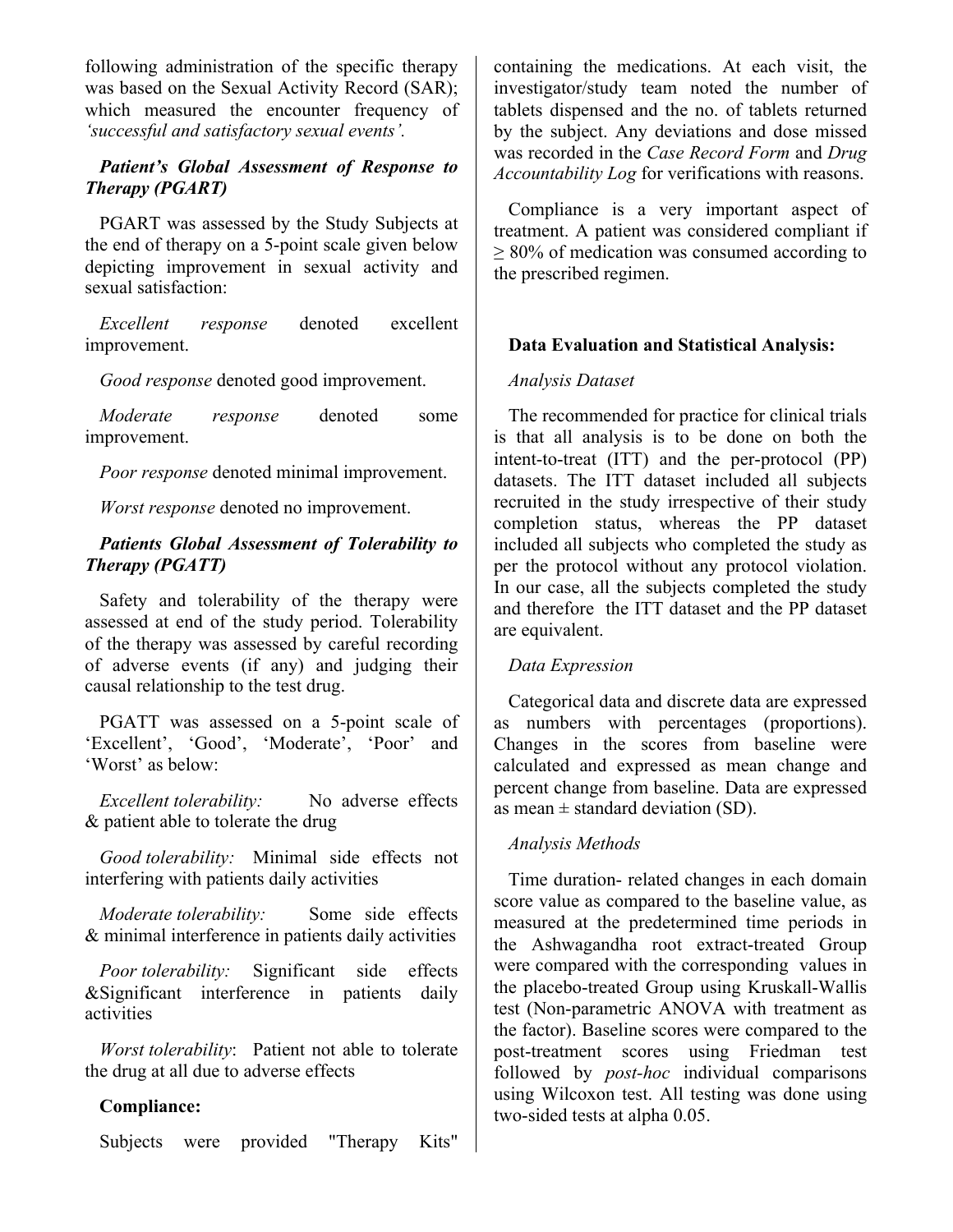following administration of the specific therapy was based on the Sexual Activity Record (SAR); which measured the encounter frequency of *'successful and satisfactory sexual events'.*

#### *Patient's Global Assessment of Response to Therapy (PGART)*

PGART was assessed by the Study Subjects at the end of therapy on a 5-point scale given below depicting improvement in sexual activity and sexual satisfaction:

*Excellent response* denoted excellent improvement.

*Good response* denoted good improvement.

*Moderate response* denoted some improvement.

*Poor response* denoted minimal improvement.

*Worst response* denoted no improvement.

#### *Patients Global Assessment of Tolerability to Therapy (PGATT)*

Safety and tolerability of the therapy were assessed at end of the study period. Tolerability of the therapy was assessed by careful recording of adverse events (if any) and judging their causal relationship to the test drug.

PGATT was assessed on a 5-point scale of 'Excellent', 'Good', 'Moderate', 'Poor' and 'Worst' as below:

*Excellent tolerability:* No adverse effects & patient able to tolerate the drug

*Good tolerability:* Minimal side effects not interfering with patients daily activities

*Moderate tolerability:* Some side effects & minimal interference in patients daily activities

*Poor tolerability:* Significant side effects &Significant interference in patients daily activities

*Worst tolerability*: Patient not able to tolerate the drug at all due to adverse effects

#### **Compliance:**

Subjects were provided "Therapy Kits"

containing the medications. At each visit, the investigator/study team noted the number of tablets dispensed and the no. of tablets returned by the subject. Any deviations and dose missed was recorded in the *Case Record Form* and *Drug Accountability Log* for verifications with reasons.

Compliance is a very important aspect of treatment. A patient was considered compliant if ≥ 80% of medication was consumed according to the prescribed regimen.

#### **Data Evaluation and Statistical Analysis:**

#### *Analysis Dataset*

The recommended for practice for clinical trials is that all analysis is to be done on both the intent-to-treat (ITT) and the per-protocol (PP) datasets. The ITT dataset included all subjects recruited in the study irrespective of their study completion status, whereas the PP dataset included all subjects who completed the study as per the protocol without any protocol violation. In our case, all the subjects completed the study and therefore the ITT dataset and the PP dataset are equivalent.

#### *Data Expression*

Categorical data and discrete data are expressed as numbers with percentages (proportions). Changes in the scores from baseline were calculated and expressed as mean change and percent change from baseline. Data are expressed as mean  $\pm$  standard deviation (SD).

#### *Analysis Methods*

Time duration- related changes in each domain score value as compared to the baseline value, as measured at the predetermined time periods in the Ashwagandha root extract-treated Group were compared with the corresponding values in the placebo-treated Group using Kruskall-Wallis test (Non-parametric ANOVA with treatment as the factor). Baseline scores were compared to the post-treatment scores using Friedman test followed by *post-hoc* individual comparisons using Wilcoxon test. All testing was done using two-sided tests at alpha 0.05.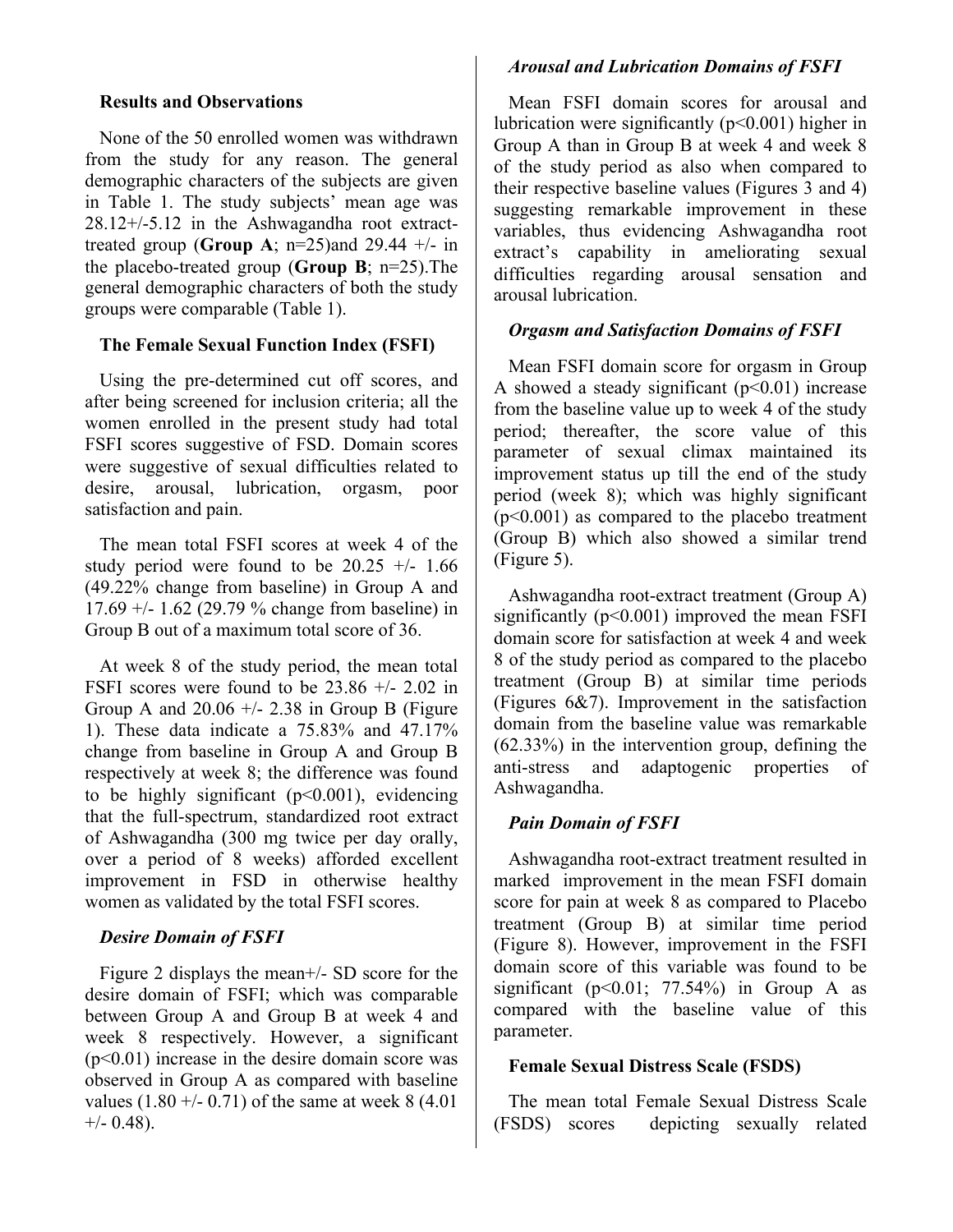#### **Results and Observations**

None of the 50 enrolled women was withdrawn from the study for any reason. The general demographic characters of the subjects are given in Table 1. The study subjects' mean age was 28.12+/-5.12 in the Ashwagandha root extracttreated group (**Group A**;  $n=25$ )and 29.44  $+/-$  in the placebo-treated group (**Group B**; n=25).The general demographic characters of both the study groups were comparable (Table 1).

#### **The Female Sexual Function Index (FSFI)**

Using the pre-determined cut off scores, and after being screened for inclusion criteria; all the women enrolled in the present study had total FSFI scores suggestive of FSD. Domain scores were suggestive of sexual difficulties related to desire, arousal, lubrication, orgasm, poor satisfaction and pain.

The mean total FSFI scores at week 4 of the study period were found to be  $20.25 +/- 1.66$ (49.22% change from baseline) in Group A and 17.69 +/- 1.62 (29.79 % change from baseline) in Group B out of a maximum total score of 36.

At week 8 of the study period, the mean total FSFI scores were found to be  $23.86 +/- 2.02$  in Group A and  $20.06 +/- 2.38$  in Group B (Figure 1). These data indicate a 75.83% and 47.17% change from baseline in Group A and Group B respectively at week 8; the difference was found to be highly significant  $(p<0.001)$ , evidencing that the full-spectrum, standardized root extract of Ashwagandha (300 mg twice per day orally, over a period of 8 weeks) afforded excellent improvement in FSD in otherwise healthy women as validated by the total FSFI scores.

#### *Desire Domain of FSFI*

Figure 2 displays the mean+/- SD score for the desire domain of FSFI; which was comparable between Group A and Group B at week 4 and week 8 respectively. However, a significant  $(p<0.01)$  increase in the desire domain score was observed in Group A as compared with baseline values  $(1.80 +/- 0.71)$  of the same at week 8 (4.01)  $+/-$  0.48).

# *Arousal and Lubrication Domains of FSFI*

Mean FSFI domain scores for arousal and lubrication were significantly  $(p<0.001)$  higher in Group A than in Group B at week 4 and week 8 of the study period as also when compared to their respective baseline values (Figures 3 and 4) suggesting remarkable improvement in these variables, thus evidencing Ashwagandha root extract's capability in ameliorating sexual difficulties regarding arousal sensation and arousal lubrication.

# *Orgasm and Satisfaction Domains of FSFI*

Mean FSFI domain score for orgasm in Group A showed a steady significant  $(p<0.01)$  increase from the baseline value up to week 4 of the study period; thereafter, the score value of this parameter of sexual climax maintained its improvement status up till the end of the study period (week 8); which was highly significant  $(p<0.001)$  as compared to the placebo treatment (Group B) which also showed a similar trend (Figure 5).

Ashwagandha root-extract treatment (Group A) significantly  $(p<0.001)$  improved the mean FSFI domain score for satisfaction at week 4 and week 8 of the study period as compared to the placebo treatment (Group B) at similar time periods (Figures 6&7). Improvement in the satisfaction domain from the baseline value was remarkable (62.33%) in the intervention group, defining the anti-stress and adaptogenic properties of Ashwagandha.

# *Pain Domain of FSFI*

Ashwagandha root-extract treatment resulted in marked improvement in the mean FSFI domain score for pain at week 8 as compared to Placebo treatment (Group B) at similar time period (Figure 8). However, improvement in the FSFI domain score of this variable was found to be significant ( $p<0.01$ ; 77.54%) in Group A as compared with the baseline value of this parameter.

# **Female Sexual Distress Scale (FSDS)**

The mean total Female Sexual Distress Scale (FSDS) scores depicting sexually related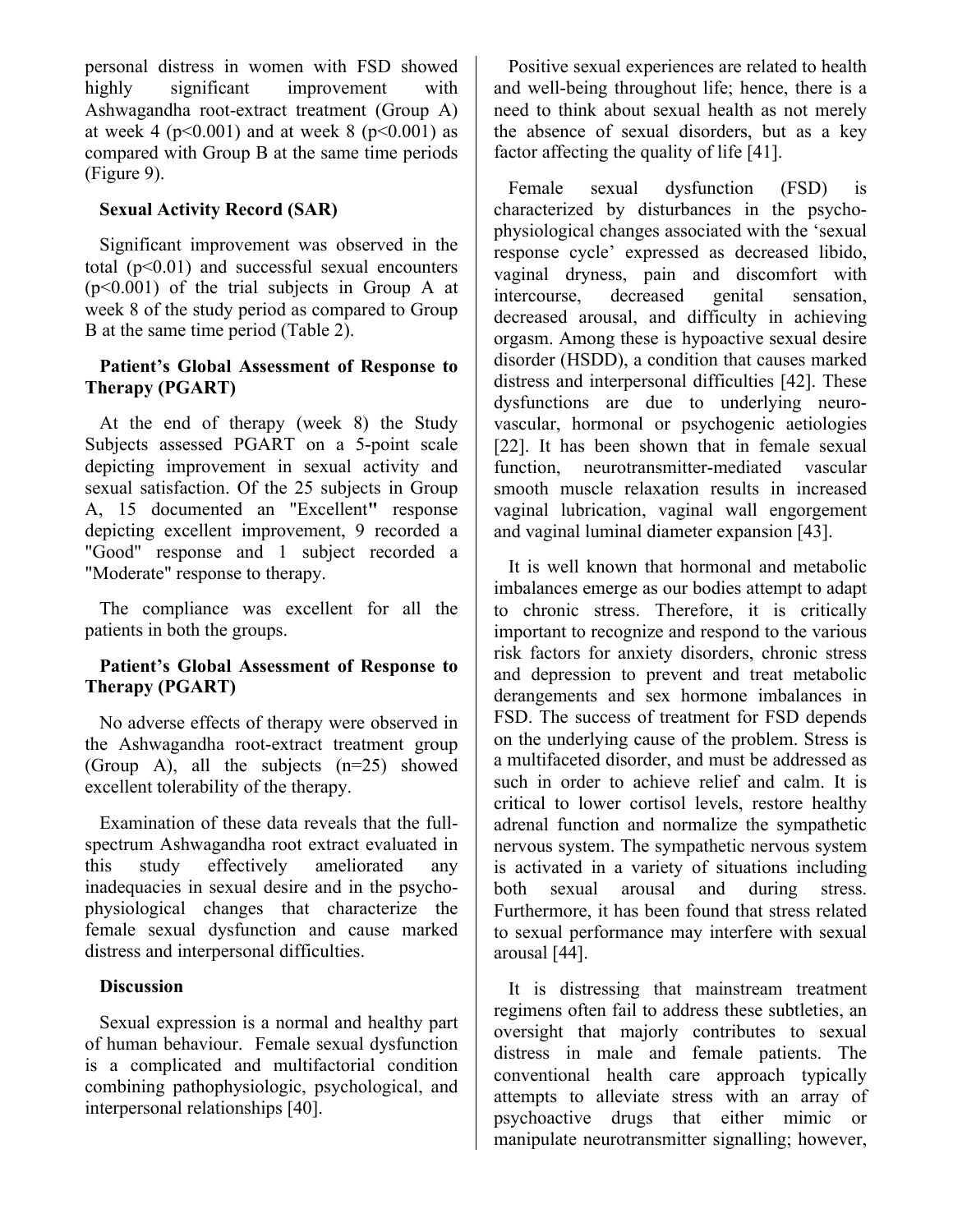personal distress in women with FSD showed highly significant improvement with Ashwagandha root-extract treatment (Group A) at week 4 ( $p < 0.001$ ) and at week 8 ( $p < 0.001$ ) as compared with Group B at the same time periods (Figure 9).

#### **Sexual Activity Record (SAR)**

Significant improvement was observed in the total  $(p<0.01)$  and successful sexual encounters (p<0.001) of the trial subjects in Group A at week 8 of the study period as compared to Group B at the same time period (Table 2).

#### **Patient's Global Assessment of Response to Therapy (PGART)**

At the end of therapy (week 8) the Study Subjects assessed PGART on a 5-point scale depicting improvement in sexual activity and sexual satisfaction. Of the 25 subjects in Group A, 15 documented an "Excellent**"** response depicting excellent improvement, 9 recorded a "Good" response and 1 subject recorded a "Moderate" response to therapy.

The compliance was excellent for all the patients in both the groups.

#### **Patient's Global Assessment of Response to Therapy (PGART)**

No adverse effects of therapy were observed in the Ashwagandha root-extract treatment group (Group A), all the subjects  $(n=25)$  showed excellent tolerability of the therapy.

Examination of these data reveals that the fullspectrum Ashwagandha root extract evaluated in this study effectively ameliorated any inadequacies in sexual desire and in the psychophysiological changes that characterize the female sexual dysfunction and cause marked distress and interpersonal difficulties.

#### **Discussion**

Sexual expression is a normal and healthy part of human behaviour. Female sexual dysfunction is a complicated and multifactorial condition combining pathophysiologic, psychological, and interpersonal relationships [40].

Positive sexual experiences are related to health and well-being throughout life; hence, there is a need to think about sexual health as not merely the absence of sexual disorders, but as a key factor affecting the quality of life [41].

Female sexual dysfunction (FSD) is characterized by disturbances in the psychophysiological changes associated with the 'sexual response cycle' expressed as decreased libido, vaginal dryness, pain and discomfort with intercourse, decreased genital sensation, decreased arousal, and difficulty in achieving orgasm. Among these is hypoactive sexual desire disorder (HSDD), a condition that causes marked distress and interpersonal difficulties [42]. These dysfunctions are due to underlying neurovascular, hormonal or psychogenic aetiologies [22]. It has been shown that in female sexual function, neurotransmitter-mediated vascular smooth muscle relaxation results in increased vaginal lubrication, vaginal wall engorgement and vaginal luminal diameter expansion [43].

It is well known that hormonal and metabolic imbalances emerge as our bodies attempt to adapt to chronic stress. Therefore, it is critically important to recognize and respond to the various risk factors for anxiety disorders, chronic stress and depression to prevent and treat metabolic derangements and sex hormone imbalances in FSD. The success of treatment for FSD depends on the underlying cause of the problem. Stress is a multifaceted disorder, and must be addressed as such in order to achieve relief and calm. It is critical to lower cortisol levels, restore healthy adrenal function and normalize the sympathetic nervous system. The sympathetic nervous system is activated in a variety of situations including both sexual arousal and during stress. Furthermore, it has been found that stress related to sexual performance may interfere with sexual arousal [44].

It is distressing that mainstream treatment regimens often fail to address these subtleties, an oversight that majorly contributes to sexual distress in male and female patients. The conventional health care approach typically attempts to alleviate stress with an array of psychoactive drugs that either mimic or manipulate neurotransmitter signalling; however,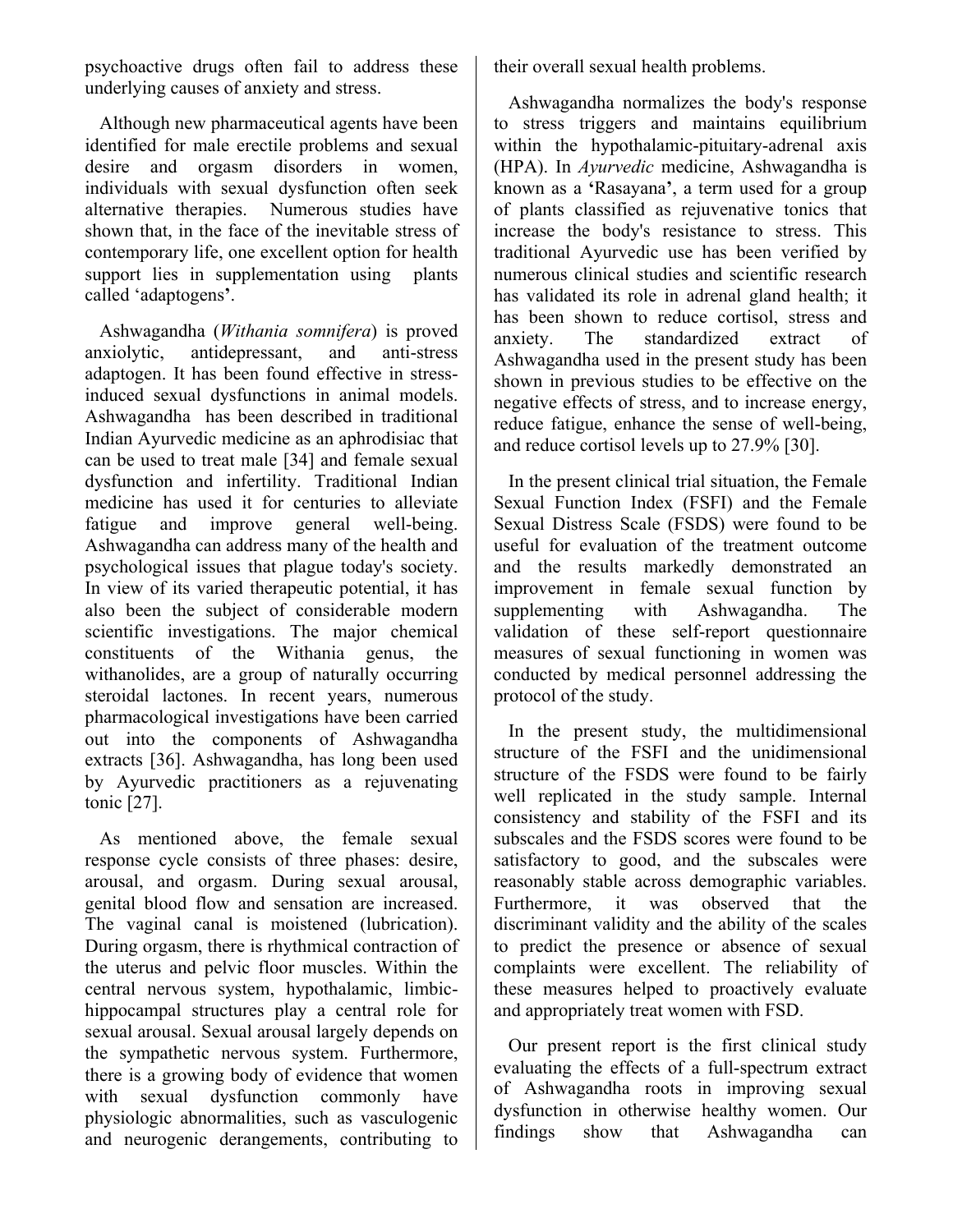psychoactive drugs often fail to address these underlying causes of anxiety and stress.

Although new pharmaceutical agents have been identified for male erectile problems and sexual desire and orgasm disorders in women, individuals with sexual dysfunction often seek alternative therapies. Numerous studies have shown that, in the face of the inevitable stress of contemporary life, one excellent option for health support lies in supplementation using plants called 'adaptogens**'**.

Ashwagandha (*Withania somnifera*) is proved anxiolytic, antidepressant, and anti-stress adaptogen. It has been found effective in stressinduced sexual dysfunctions in animal models. Ashwagandha has been described in traditional Indian Ayurvedic medicine as an aphrodisiac that can be used to treat male [34] and female sexual dysfunction and infertility. Traditional Indian medicine has used it for centuries to alleviate fatigue and improve general well-being. Ashwagandha can address many of the health and psychological issues that plague today's society. In view of its varied therapeutic potential, it has also been the subject of considerable modern scientific investigations. The major chemical constituents of the Withania genus, the withanolides, are a group of naturally occurring steroidal lactones. In recent years, numerous pharmacological investigations have been carried out into the components of Ashwagandha extracts [36]. Ashwagandha, has long been used by Ayurvedic practitioners as a rejuvenating tonic [27].

As mentioned above, the female sexual response cycle consists of three phases: desire, arousal, and orgasm. During sexual arousal, genital blood flow and sensation are increased. The vaginal canal is moistened (lubrication). During orgasm, there is rhythmical contraction of the uterus and pelvic floor muscles. Within the central nervous system, hypothalamic, limbichippocampal structures play a central role for sexual arousal. Sexual arousal largely depends on the sympathetic nervous system. Furthermore, there is a growing body of evidence that women with sexual dysfunction commonly have physiologic abnormalities, such as vasculogenic and neurogenic derangements, contributing to

their overall sexual health problems.

Ashwagandha normalizes the body's response to stress triggers and maintains equilibrium within the hypothalamic-pituitary-adrenal axis (HPA). In *Ayurvedic* medicine, Ashwagandha is known as a **'**Rasayana**'**, a term used for a group of plants classified as rejuvenative tonics that increase the body's resistance to stress. This traditional Ayurvedic use has been verified by numerous clinical studies and scientific research has validated its role in adrenal gland health; it has been shown to reduce cortisol, stress and anxiety. The standardized extract of Ashwagandha used in the present study has been shown in previous studies to be effective on the negative effects of stress, and to increase energy, reduce fatigue, enhance the sense of well-being, and reduce cortisol levels up to 27.9% [30].

In the present clinical trial situation, the Female Sexual Function Index (FSFI) and the Female Sexual Distress Scale (FSDS) were found to be useful for evaluation of the treatment outcome and the results markedly demonstrated an improvement in female sexual function by supplementing with Ashwagandha. The validation of these self-report questionnaire measures of sexual functioning in women was conducted by medical personnel addressing the protocol of the study.

In the present study, the multidimensional structure of the FSFI and the unidimensional structure of the FSDS were found to be fairly well replicated in the study sample. Internal consistency and stability of the FSFI and its subscales and the FSDS scores were found to be satisfactory to good, and the subscales were reasonably stable across demographic variables. Furthermore, it was observed that the discriminant validity and the ability of the scales to predict the presence or absence of sexual complaints were excellent. The reliability of these measures helped to proactively evaluate and appropriately treat women with FSD.

Our present report is the first clinical study evaluating the effects of a full-spectrum extract of Ashwagandha roots in improving sexual dysfunction in otherwise healthy women. Our findings show that Ashwagandha can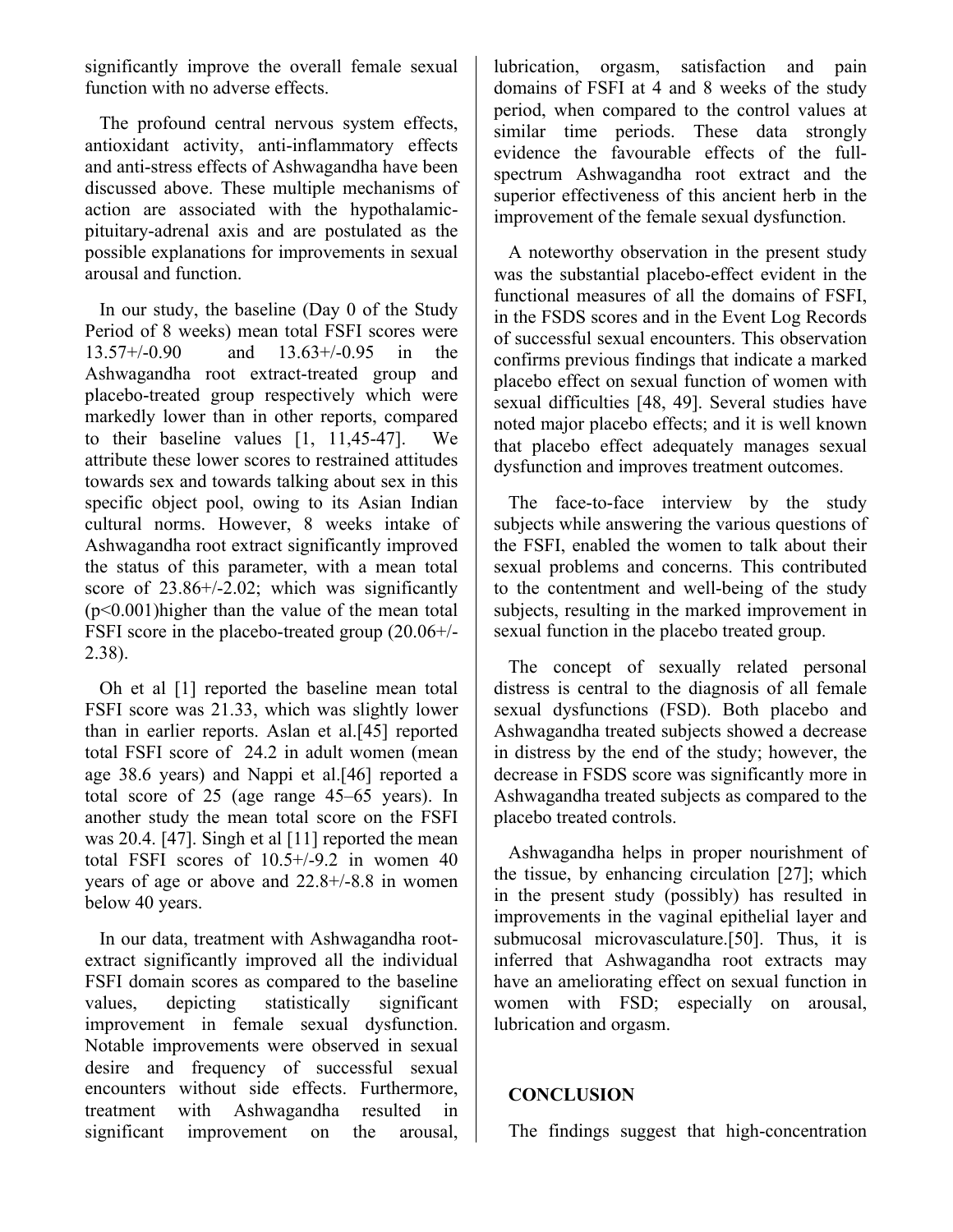significantly improve the overall female sexual function with no adverse effects.

The profound central nervous system effects, antioxidant activity, anti-inflammatory effects and anti-stress effects of Ashwagandha have been discussed above. These multiple mechanisms of action are associated with the hypothalamicpituitary-adrenal axis and are postulated as the possible explanations for improvements in sexual arousal and function.

In our study, the baseline (Day 0 of the Study Period of 8 weeks) mean total FSFI scores were 13.57+/-0.90 and 13.63+/-0.95 in the Ashwagandha root extract-treated group and placebo-treated group respectively which were markedly lower than in other reports, compared to their baseline values [1, 11,45-47]. We attribute these lower scores to restrained attitudes towards sex and towards talking about sex in this specific object pool, owing to its Asian Indian cultural norms. However, 8 weeks intake of Ashwagandha root extract significantly improved the status of this parameter, with a mean total score of 23.86+/-2.02; which was significantly (p<0.001)higher than the value of the mean total FSFI score in the placebo-treated group (20.06+/- 2.38).

Oh et al [1] reported the baseline mean total FSFI score was 21.33, which was slightly lower than in earlier reports. Aslan et al.[45] reported total FSFI score of 24.2 in adult women (mean age 38.6 years) and Nappi et al.[46] reported a total score of 25 (age range 45–65 years). In another study the mean total score on the FSFI was 20.4. [47]. Singh et al [11] reported the mean total FSFI scores of 10.5+/-9.2 in women 40 years of age or above and 22.8+/-8.8 in women below 40 years.

In our data, treatment with Ashwagandha rootextract significantly improved all the individual FSFI domain scores as compared to the baseline values, depicting statistically significant improvement in female sexual dysfunction. Notable improvements were observed in sexual desire and frequency of successful sexual encounters without side effects. Furthermore, treatment with Ashwagandha resulted in significant improvement on the arousal, lubrication, orgasm, satisfaction and pain domains of FSFI at 4 and 8 weeks of the study period, when compared to the control values at similar time periods. These data strongly evidence the favourable effects of the fullspectrum Ashwagandha root extract and the superior effectiveness of this ancient herb in the improvement of the female sexual dysfunction.

A noteworthy observation in the present study was the substantial placebo-effect evident in the functional measures of all the domains of FSFI, in the FSDS scores and in the Event Log Records of successful sexual encounters. This observation confirms previous findings that indicate a marked placebo effect on sexual function of women with sexual difficulties [48, 49]. Several studies have noted major placebo effects; and it is well known that placebo effect adequately manages sexual dysfunction and improves treatment outcomes.

The face-to-face interview by the study subjects while answering the various questions of the FSFI, enabled the women to talk about their sexual problems and concerns. This contributed to the contentment and well-being of the study subjects, resulting in the marked improvement in sexual function in the placebo treated group.

The concept of sexually related personal distress is central to the diagnosis of all female sexual dysfunctions (FSD). Both placebo and Ashwagandha treated subjects showed a decrease in distress by the end of the study; however, the decrease in FSDS score was significantly more in Ashwagandha treated subjects as compared to the placebo treated controls.

Ashwagandha helps in proper nourishment of the tissue, by enhancing circulation [27]; which in the present study (possibly) has resulted in improvements in the vaginal epithelial layer and submucosal microvasculature.[50]. Thus, it is inferred that Ashwagandha root extracts may have an ameliorating effect on sexual function in women with FSD; especially on arousal, lubrication and orgasm.

#### **CONCLUSION**

The findings suggest that high-concentration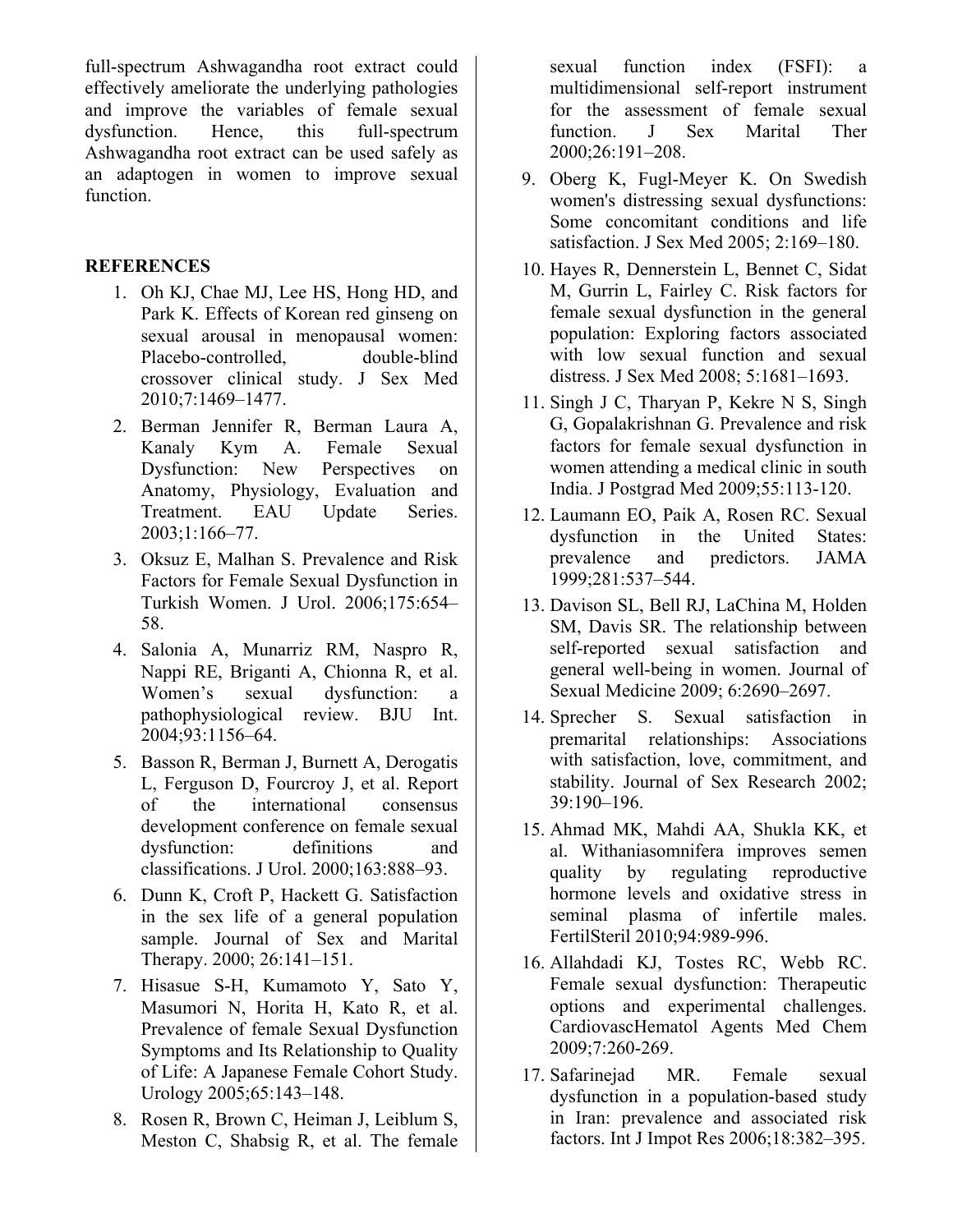full-spectrum Ashwagandha root extract could effectively ameliorate the underlying pathologies and improve the variables of female sexual dysfunction. Hence, this full-spectrum Ashwagandha root extract can be used safely as an adaptogen in women to improve sexual function.

### **REFERENCES**

- 1. Oh KJ, Chae MJ, Lee HS, Hong HD, and Park K. Effects of Korean red ginseng on sexual arousal in menopausal women: Placebo-controlled, double-blind crossover clinical study. J Sex Med 2010;7:1469–1477.
- 2. Berman Jennifer R, Berman Laura A, Kanaly Kym A. Female Sexual Dysfunction: New Perspectives on Anatomy, Physiology, Evaluation and Treatment. EAU Update Series. 2003;1:166–77.
- 3. Oksuz E, Malhan S. Prevalence and Risk Factors for Female Sexual Dysfunction in Turkish Women. J Urol. 2006;175:654– 58.
- 4. Salonia A, Munarriz RM, Naspro R, Nappi RE, Briganti A, Chionna R, et al. Women's sexual dysfunction: a pathophysiological review. BJU Int. 2004;93:1156–64.
- 5. Basson R, Berman J, Burnett A, Derogatis L, Ferguson D, Fourcroy J, et al. Report of the international consensus development conference on female sexual dysfunction: definitions and classifications. J Urol. 2000;163:888–93.
- 6. Dunn K, Croft P, Hackett G. Satisfaction in the sex life of a general population sample. Journal of Sex and Marital Therapy. 2000; 26:141–151.
- 7. Hisasue S-H, Kumamoto Y, Sato Y, Masumori N, Horita H, Kato R, et al. Prevalence of female Sexual Dysfunction Symptoms and Its Relationship to Quality of Life: A Japanese Female Cohort Study. Urology 2005;65:143–148.
- 8. Rosen R, Brown C, Heiman J, Leiblum S, Meston C, Shabsig R, et al. The female

sexual function index (FSFI): a multidimensional self-report instrument for the assessment of female sexual function. J Sex Marital Ther 2000;26:191–208.

- 9. Oberg K, Fugl-Meyer K. On Swedish women's distressing sexual dysfunctions: Some concomitant conditions and life satisfaction. J Sex Med 2005; 2:169–180.
- 10. Hayes R, Dennerstein L, Bennet C, Sidat M, Gurrin L, Fairley C. Risk factors for female sexual dysfunction in the general population: Exploring factors associated with low sexual function and sexual distress. J Sex Med 2008; 5:1681–1693.
- 11. Singh J C, Tharyan P, Kekre N S, Singh G, Gopalakrishnan G. Prevalence and risk factors for female sexual dysfunction in women attending a medical clinic in south India. J Postgrad Med 2009;55:113-120.
- 12. Laumann EO, Paik A, Rosen RC. Sexual dysfunction in the United States: prevalence and predictors. JAMA 1999;281:537–544.
- 13. Davison SL, Bell RJ, LaChina M, Holden SM, Davis SR. The relationship between self-reported sexual satisfaction and general well-being in women. Journal of Sexual Medicine 2009; 6:2690–2697.
- 14. Sprecher S. Sexual satisfaction in premarital relationships: Associations with satisfaction, love, commitment, and stability. Journal of Sex Research 2002; 39:190–196.
- 15. Ahmad MK, Mahdi AA, Shukla KK, et al. Withaniasomnifera improves semen quality by regulating reproductive hormone levels and oxidative stress in seminal plasma of infertile males. FertilSteril 2010;94:989-996.
- 16. Allahdadi KJ, Tostes RC, Webb RC. Female sexual dysfunction: Therapeutic options and experimental challenges. CardiovascHematol Agents Med Chem 2009;7:260-269.
- 17. Safarinejad MR. Female sexual dysfunction in a population-based study in Iran: prevalence and associated risk factors. Int J Impot Res 2006;18:382–395.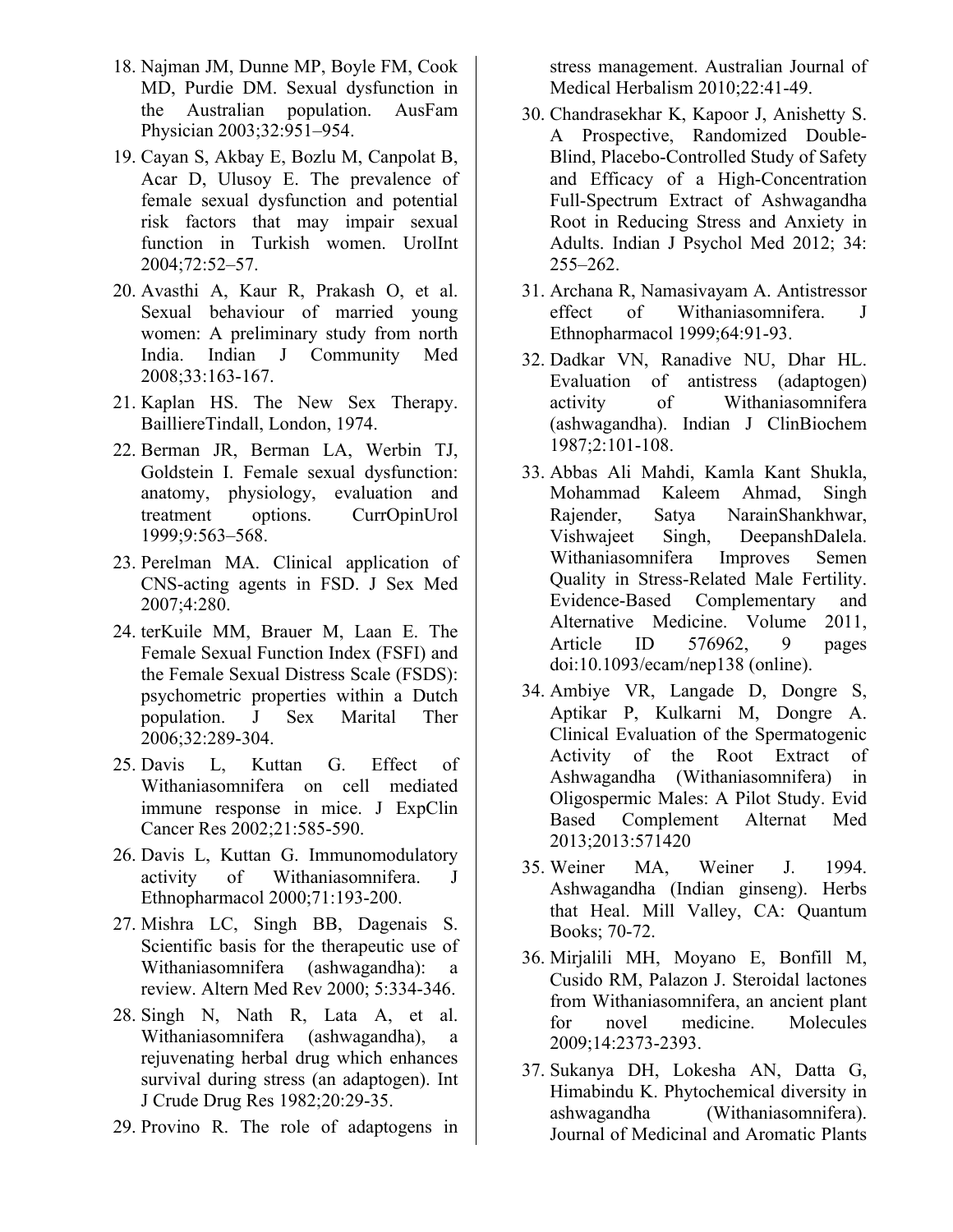- 18. Najman JM, Dunne MP, Boyle FM, Cook MD, Purdie DM. Sexual dysfunction in the Australian population. AusFam Physician 2003;32:951–954.
- 19. Cayan S, Akbay E, Bozlu M, Canpolat B, Acar D, Ulusoy E. The prevalence of female sexual dysfunction and potential risk factors that may impair sexual function in Turkish women. UrolInt 2004;72:52–57.
- 20. Avasthi A, Kaur R, Prakash O, et al. Sexual behaviour of married young women: A preliminary study from north India. Indian J Community Med 2008;33:163-167.
- 21. Kaplan HS. The New Sex Therapy. BailliereTindall, London, 1974.
- 22. Berman JR, Berman LA, Werbin TJ, Goldstein I. Female sexual dysfunction: anatomy, physiology, evaluation and treatment options. CurrOpinUrol 1999;9:563–568.
- 23. Perelman MA. Clinical application of CNS-acting agents in FSD. J Sex Med 2007;4:280.
- 24. terKuile MM, Brauer M, Laan E. The Female Sexual Function Index (FSFI) and the Female Sexual Distress Scale (FSDS): psychometric properties within a Dutch population. J Sex Marital Ther 2006;32:289-304.
- 25. Davis L, Kuttan G. Effect of Withaniasomnifera on cell mediated immune response in mice. J ExpClin Cancer Res 2002;21:585-590.
- 26. Davis L, Kuttan G. Immunomodulatory activity of Withaniasomnifera. J Ethnopharmacol 2000;71:193-200.
- 27. Mishra LC, Singh BB, Dagenais S. Scientific basis for the therapeutic use of Withaniasomnifera (ashwagandha): a review. Altern Med Rev 2000; 5:334-346.
- 28. Singh N, Nath R, Lata A, et al. Withaniasomnifera (ashwagandha), a rejuvenating herbal drug which enhances survival during stress (an adaptogen). Int J Crude Drug Res 1982;20:29-35.
- 29. Provino R. The role of adaptogens in

stress management. Australian Journal of Medical Herbalism 2010;22:41-49.

- 30. Chandrasekhar K, Kapoor J, Anishetty S. A Prospective, Randomized Double-Blind, Placebo-Controlled Study of Safety and Efficacy of a High-Concentration Full-Spectrum Extract of Ashwagandha Root in Reducing Stress and Anxiety in Adults. Indian J Psychol Med 2012; 34: 255–262.
- 31. Archana R, Namasivayam A. Antistressor effect of Withaniasomnifera. J Ethnopharmacol 1999;64:91-93.
- 32. Dadkar VN, Ranadive NU, Dhar HL. Evaluation of antistress (adaptogen) activity of Withaniasomnifera (ashwagandha). Indian J ClinBiochem 1987;2:101-108.
- 33. Abbas Ali Mahdi, Kamla Kant Shukla, Mohammad Kaleem Ahmad, Singh Rajender, Satya NarainShankhwar, Vishwajeet Singh, DeepanshDalela. Withaniasomnifera Improves Semen Quality in Stress-Related Male Fertility. Evidence-Based Complementary and Alternative Medicine. Volume 2011, Article ID 576962, 9 pages doi:10.1093/ecam/nep138 (online).
- 34. Ambiye VR, Langade D, Dongre S, Aptikar P, Kulkarni M, Dongre A. Clinical Evaluation of the Spermatogenic Activity of the Root Extract of Ashwagandha (Withaniasomnifera) in Oligospermic Males: A Pilot Study. Evid Based Complement Alternat Med 2013;2013:571420
- 35. Weiner MA, Weiner J. 1994. Ashwagandha (Indian ginseng). Herbs that Heal. Mill Valley, CA: Quantum Books; 70-72.
- 36. Mirjalili MH, Moyano E, Bonfill M, Cusido RM, Palazon J. Steroidal lactones from Withaniasomnifera, an ancient plant for novel medicine. Molecules 2009;14:2373-2393.
- 37. Sukanya DH, Lokesha AN, Datta G, Himabindu K. Phytochemical diversity in ashwagandha (Withaniasomnifera). Journal of Medicinal and Aromatic Plants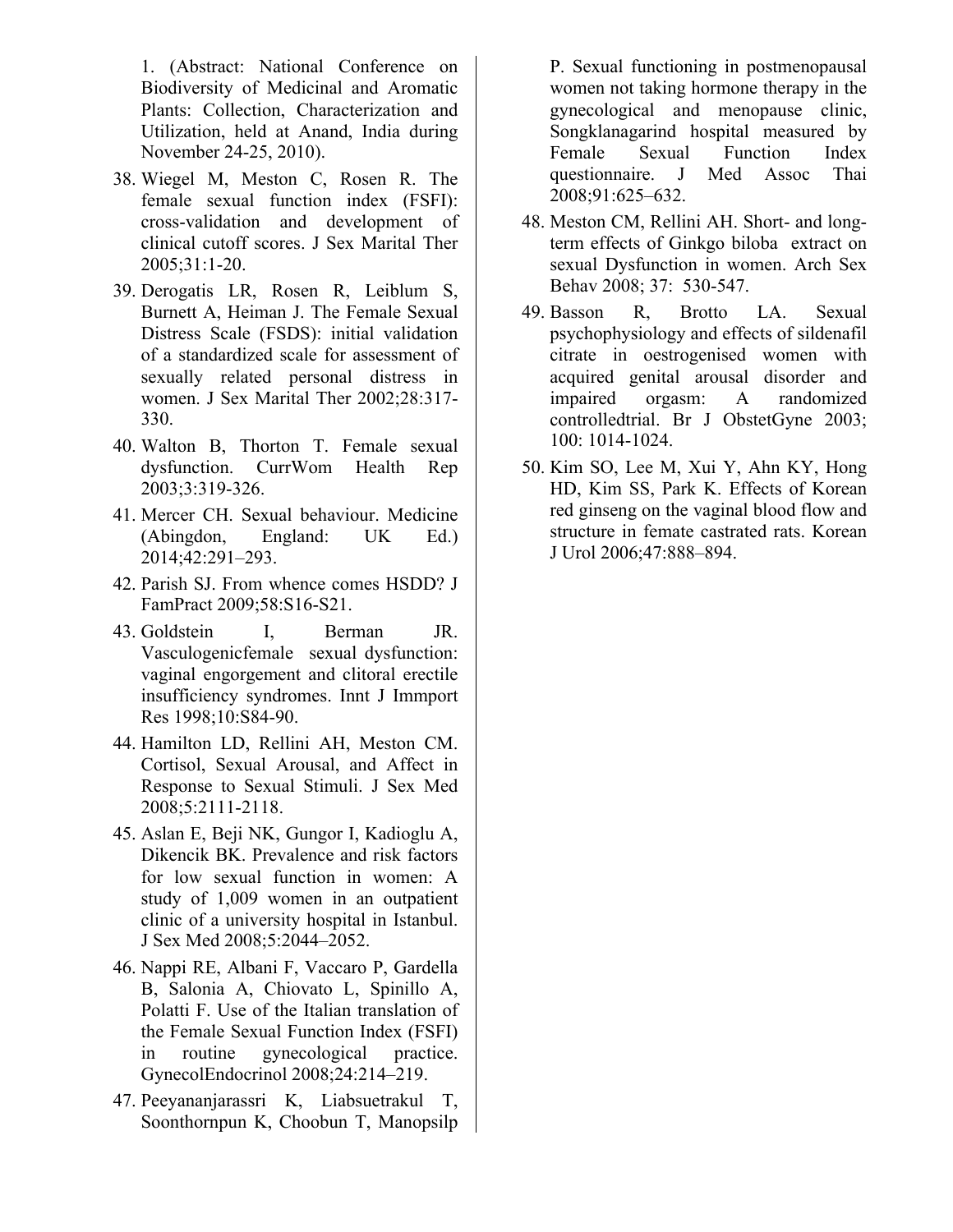1. (Abstract: National Conference on Biodiversity of Medicinal and Aromatic Plants: Collection, Characterization and Utilization, held at Anand, India during November 24-25, 2010).

- 38. Wiegel M, Meston C, Rosen R. The female sexual function index (FSFI): cross-validation and development of clinical cutoff scores. J Sex Marital Ther 2005;31:1-20.
- 39. Derogatis LR, Rosen R, Leiblum S, Burnett A, Heiman J. The Female Sexual Distress Scale (FSDS): initial validation of a standardized scale for assessment of sexually related personal distress in women. J Sex Marital Ther 2002;28:317- 330.
- 40. Walton B, Thorton T. Female sexual dysfunction. CurrWom Health Rep 2003;3:319-326.
- 41. Mercer CH. Sexual behaviour. Medicine (Abingdon, England: UK Ed.) 2014;42:291–293.
- 42. Parish SJ. From whence comes HSDD? J FamPract 2009;58:S16-S21.
- 43. Goldstein I, Berman JR. Vasculogenicfemale sexual dysfunction: vaginal engorgement and clitoral erectile insufficiency syndromes. Innt J Immport Res 1998;10:S84-90.
- 44. Hamilton LD, Rellini AH, Meston CM. Cortisol, Sexual Arousal, and Affect in Response to Sexual Stimuli. J Sex Med 2008;5:2111-2118.
- 45. Aslan E, Beji NK, Gungor I, Kadioglu A, Dikencik BK. Prevalence and risk factors for low sexual function in women: A study of 1,009 women in an outpatient clinic of a university hospital in Istanbul. J Sex Med 2008;5:2044–2052.
- 46. Nappi RE, Albani F, Vaccaro P, Gardella B, Salonia A, Chiovato L, Spinillo A, Polatti F. Use of the Italian translation of the Female Sexual Function Index (FSFI) in routine gynecological practice. GynecolEndocrinol 2008;24:214–219.
- 47. Peeyananjarassri K, Liabsuetrakul T, Soonthornpun K, Choobun T, Manopsilp

P. Sexual functioning in postmenopausal women not taking hormone therapy in the gynecological and menopause clinic, Songklanagarind hospital measured by Female Sexual Function Index questionnaire. J Med Assoc Thai 2008;91:625–632.

- 48. Meston CM, Rellini AH. Short- and longterm effects of Ginkgo biloba extract on sexual Dysfunction in women. Arch Sex Behav 2008; 37: 530-547.
- 49. Basson R, Brotto LA. Sexual psychophysiology and effects of sildenafil citrate in oestrogenised women with acquired genital arousal disorder and impaired orgasm: A randomized controlledtrial. Br J ObstetGyne 2003; 100: 1014-1024.
- 50. Kim SO, Lee M, Xui Y, Ahn KY, Hong HD, Kim SS, Park K. Effects of Korean red ginseng on the vaginal blood flow and structure in femate castrated rats. Korean J Urol 2006;47:888–894.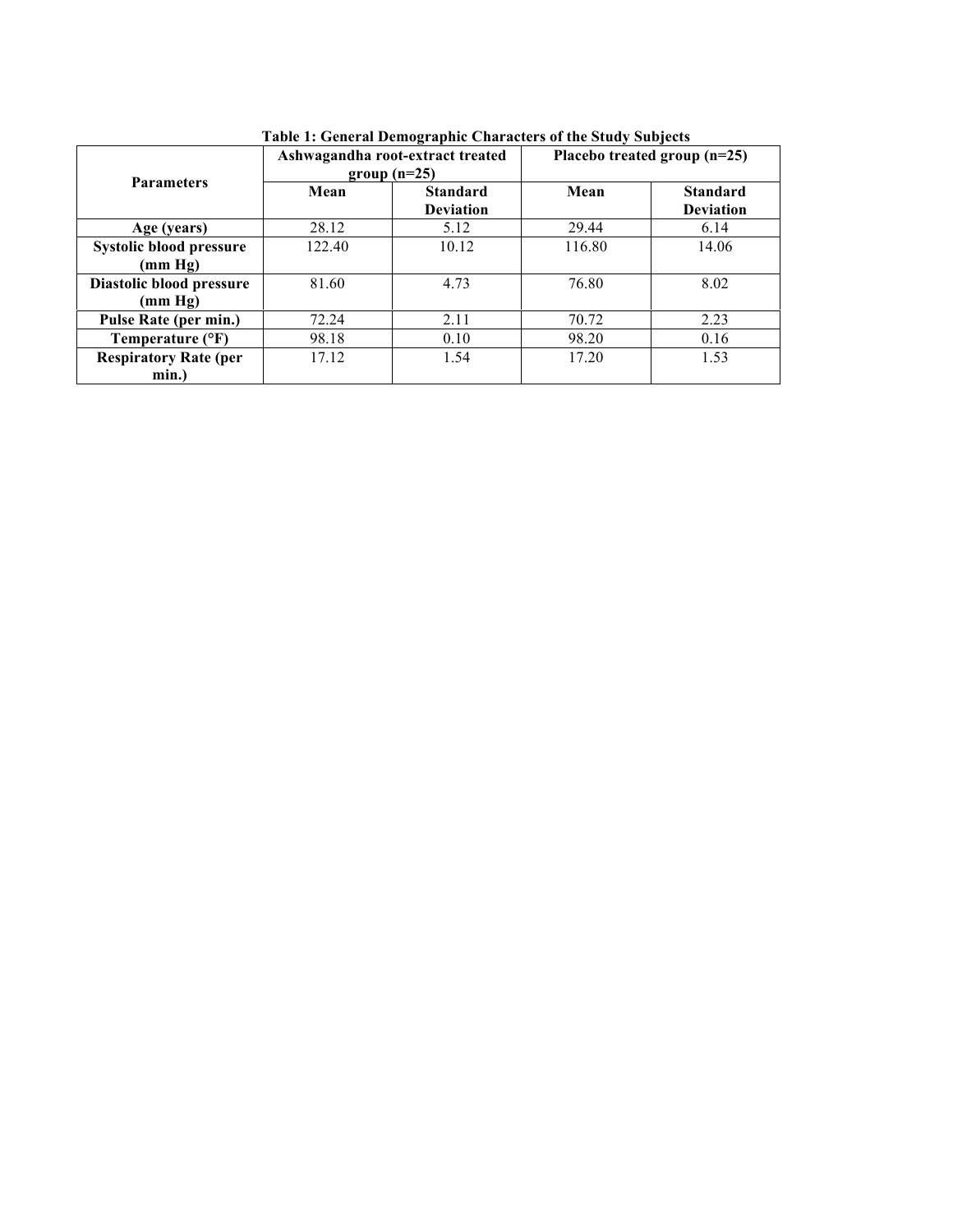| <b>Parameters</b>                     |        | Ashwagandha root-extract treated<br>$group(n=25)$ | Placebo treated group (n=25) |                                     |
|---------------------------------------|--------|---------------------------------------------------|------------------------------|-------------------------------------|
|                                       | Mean   | <b>Standard</b><br><b>Deviation</b>               | Mean                         | <b>Standard</b><br><b>Deviation</b> |
| Age (years)                           | 28.12  | 5.12                                              | 29.44                        | 6.14                                |
| Systolic blood pressure<br>(mm Hg)    | 122.40 | 10.12                                             | 116.80                       | 14.06                               |
| Diastolic blood pressure<br>(mm Hg)   | 81.60  | 4.73                                              | 76.80                        | 8.02                                |
| Pulse Rate (per min.)                 | 72.24  | 2.11                                              | 70.72                        | 2.23                                |
| Temperature (°F)                      | 98.18  | 0.10                                              | 98.20                        | 0.16                                |
| <b>Respiratory Rate (per</b><br>min.) | 17.12  | 1.54                                              | 17.20                        | 1.53                                |

**Table 1: General Demographic Characters of the Study Subjects**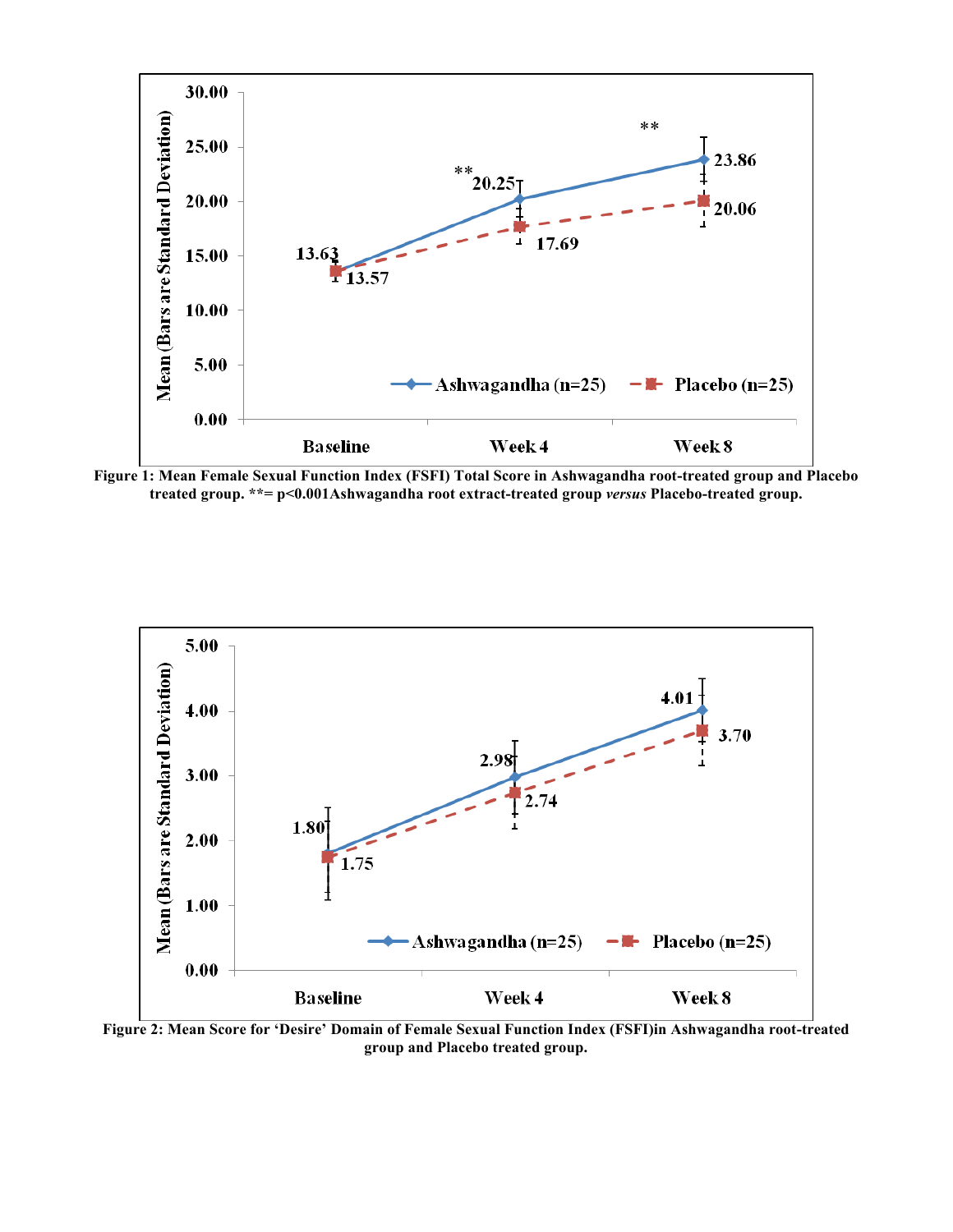

**Figure 1: Mean Female Sexual Function Index (FSFI) Total Score in Ashwagandha root-treated group and Placebo treated group. \*\*= p<0.001Ashwagandha root extract-treated group** *versus* **Placebo-treated group.**



**Figure 2: Mean Score for 'Desire' Domain of Female Sexual Function Index (FSFI)in Ashwagandha root-treated group and Placebo treated group.**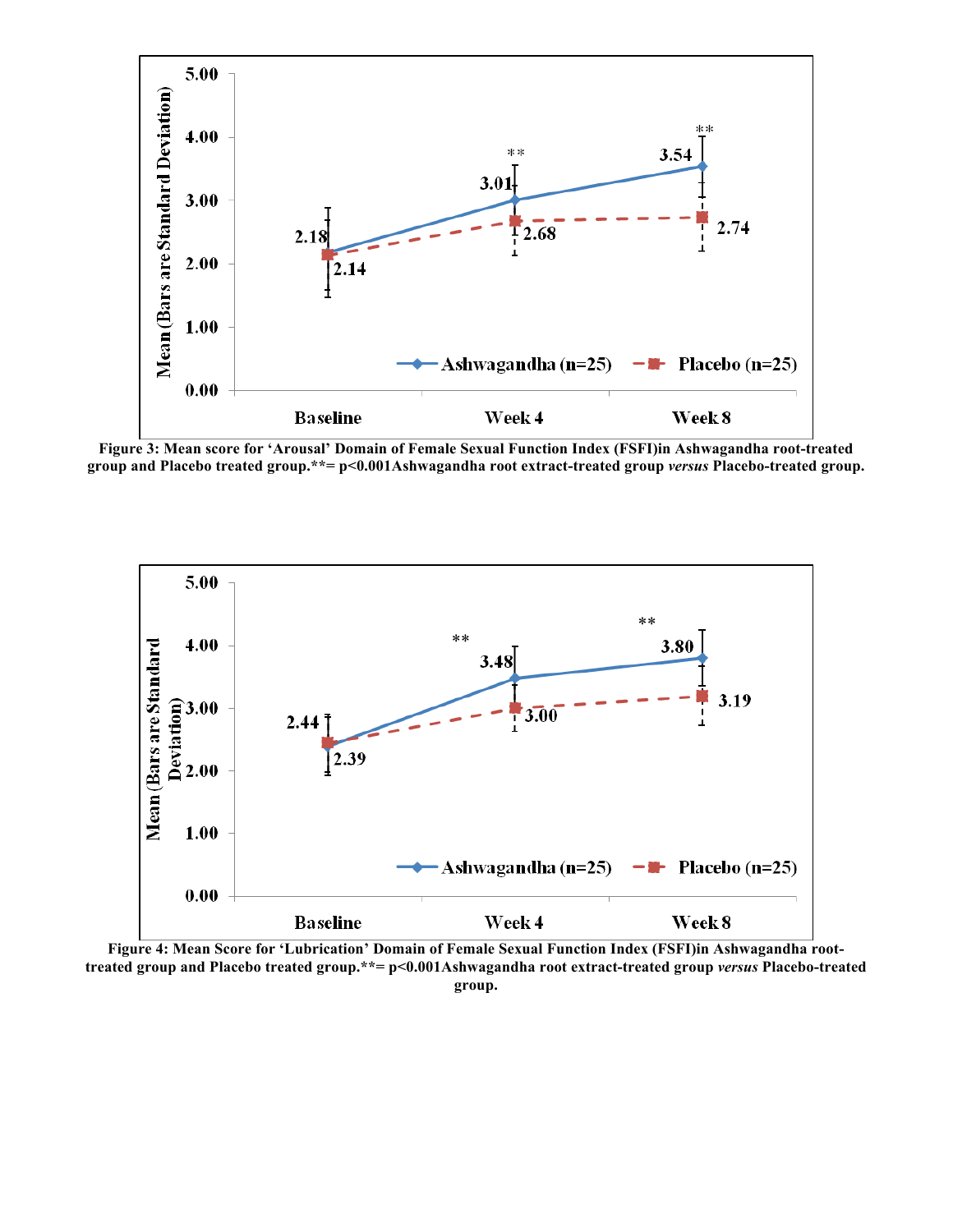

**Figure 3: Mean score for 'Arousal' Domain of Female Sexual Function Index (FSFI)in Ashwagandha root-treated group and Placebo treated group.\*\*= p<0.001Ashwagandha root extract-treated group** *versus* **Placebo-treated group.**



**Figure 4: Mean Score for 'Lubrication' Domain of Female Sexual Function Index (FSFI)in Ashwagandha roottreated group and Placebo treated group.\*\*= p<0.001Ashwagandha root extract-treated group** *versus* **Placebo-treated group.**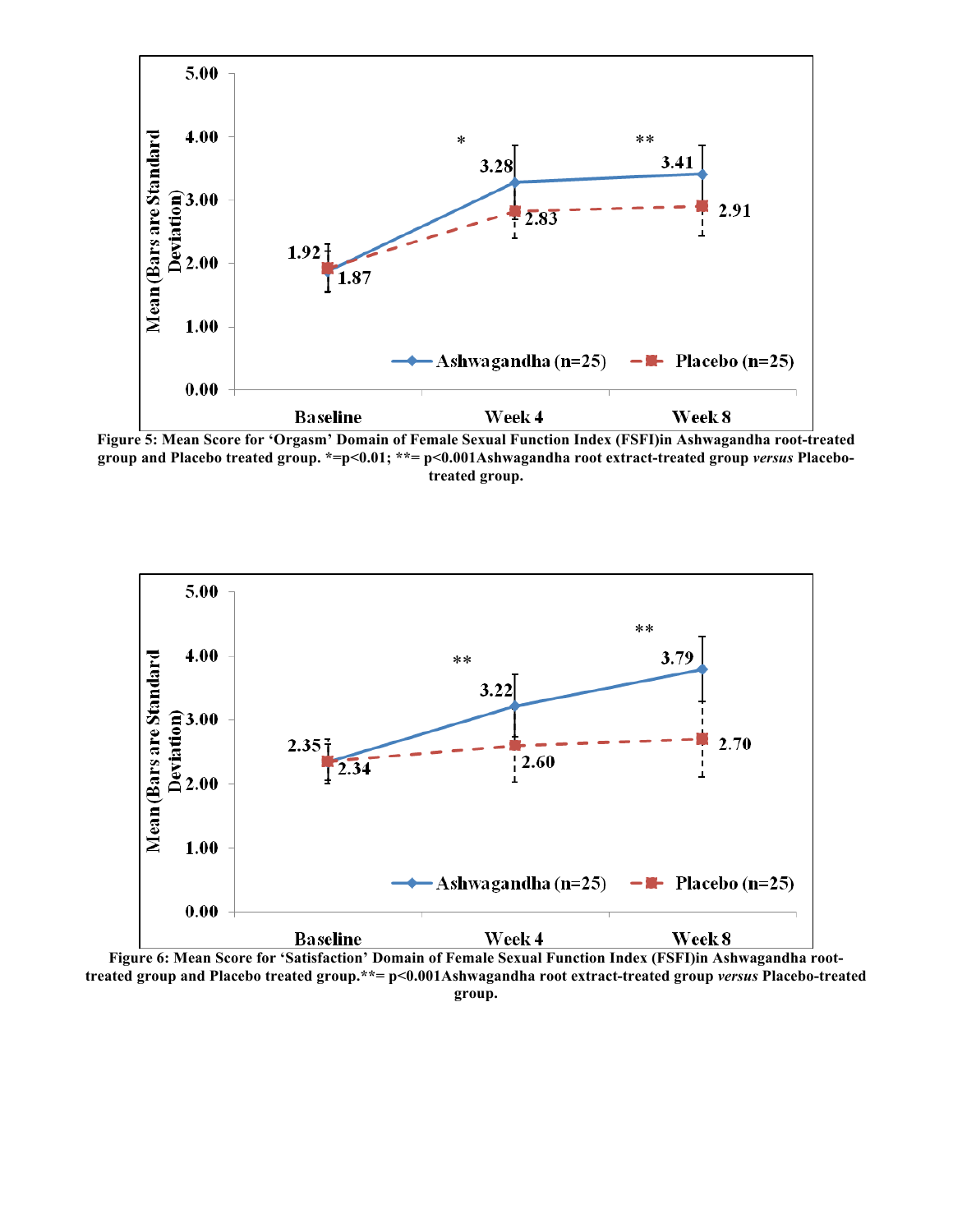

**Figure 5: Mean Score for 'Orgasm' Domain of Female Sexual Function Index (FSFI)in Ashwagandha root-treated group and Placebo treated group. \*=p<0.01; \*\*= p<0.001Ashwagandha root extract-treated group** *versus* **Placebotreated group.**



**Figure 6: Mean Score for 'Satisfaction' Domain of Female Sexual Function Index (FSFI)in Ashwagandha roottreated group and Placebo treated group.\*\*= p<0.001Ashwagandha root extract-treated group** *versus* **Placebo-treated group.**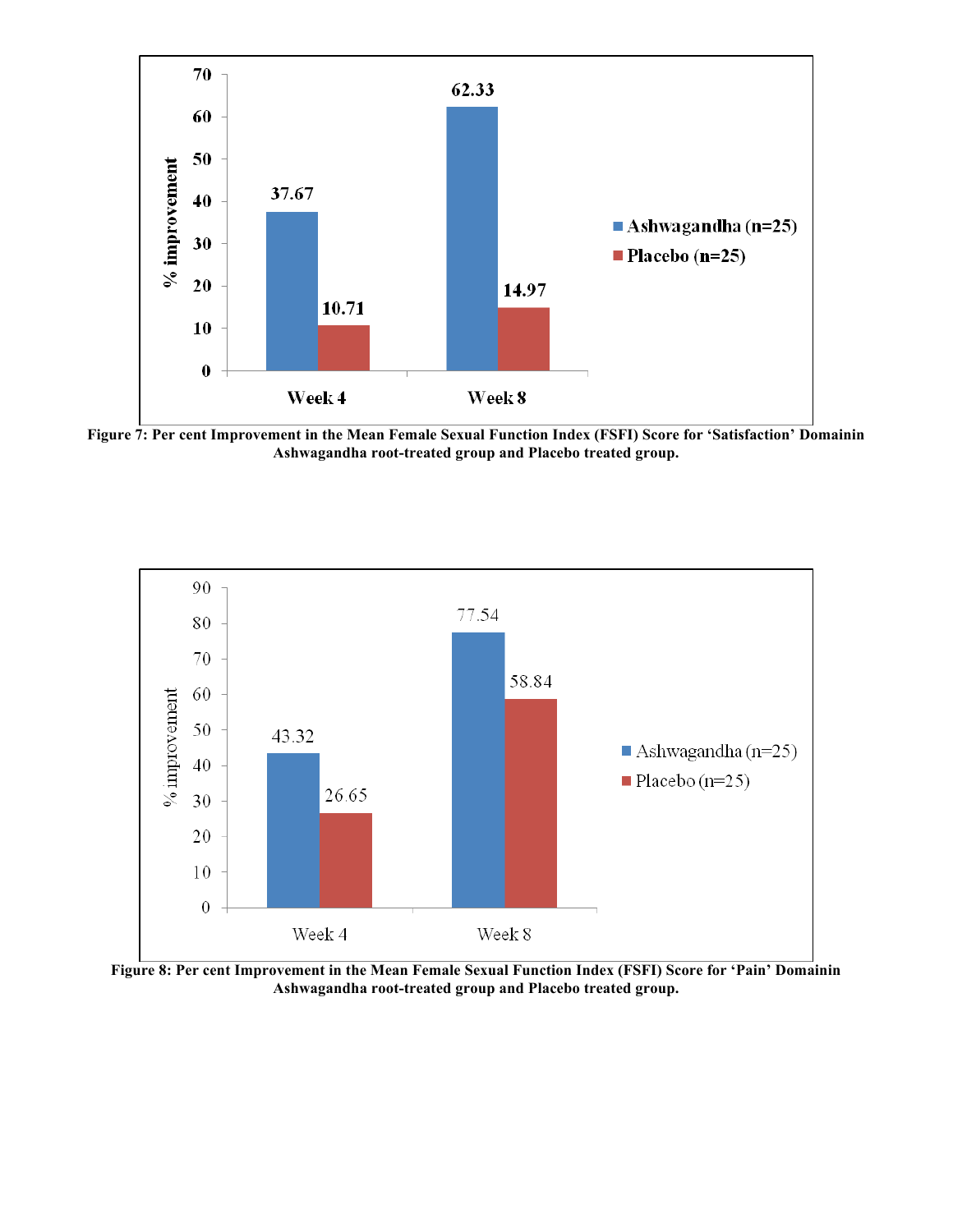

**Figure 7: Per cent Improvement in the Mean Female Sexual Function Index (FSFI) Score for 'Satisfaction' Domainin Ashwagandha root-treated group and Placebo treated group.**



**Figure 8: Per cent Improvement in the Mean Female Sexual Function Index (FSFI) Score for 'Pain' Domainin Ashwagandha root-treated group and Placebo treated group.**